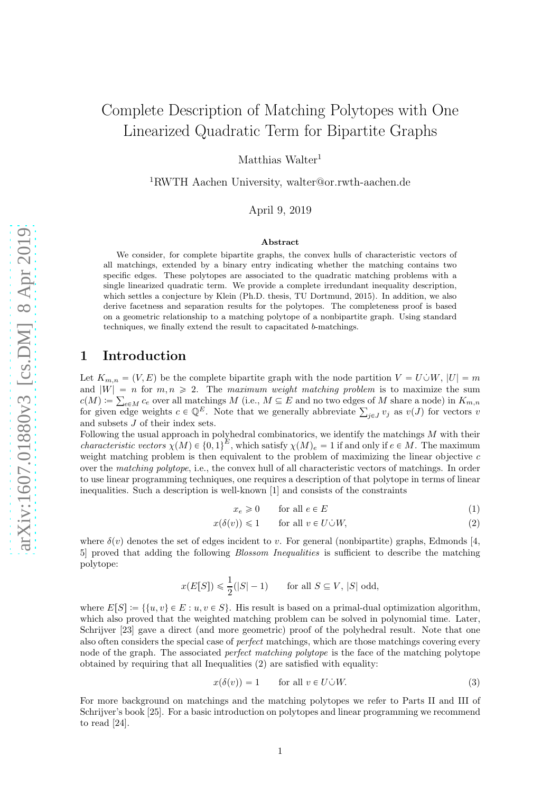# Complete Description of Matching Polytopes with One Linearized Quadratic Term for Bipartite Graphs

Matthias Walter<sup>1</sup>

<sup>1</sup>RWTH Aachen University, walter@or.rwth-aachen.de

April 9, 2019

#### Abstract

We consider, for complete bipartite graphs, the convex hulls of characteristic vectors of all matchings, extended by a binary entry indicating whether the matching contains two specific edges. These polytopes are associated to the quadratic matching problems with a single linearized quadratic term. We provide a complete irredundant inequality description, which settles a conjecture by Klein (Ph.D. thesis, TU Dortmund, 2015). In addition, we also derive facetness and separation results for the polytopes. The completeness proof is based on a geometric relationship to a matching polytope of a nonbipartite graph. Using standard techniques, we finally extend the result to capacitated *b*-matchings.

## <span id="page-0-3"></span>1 Introduction

Let  $K_{m,n} = (V, E)$  be the complete bipartite graph with the node partition  $V = U \dot{\cup} W$ ,  $|U| = m$ and  $|W| = n$  for  $m, n \ge 2$ . The maximum weight matching problem is to maximize the sum  $c(M) \coloneqq \sum_{e \in M} c_e$  over all matchings  $M$  (i.e.,  $M \subseteq E$  and no two edges of M share a node) in  $K_{m,n}$ for given edge weights  $c \in \mathbb{Q}^E$ . Note that we generally abbreviate  $\sum_{j\in J} v_j$  as  $v(J)$  for vectors v and subsets J of their index sets.

Following the usual approach in polyhedral combinatorics, we identify the matchings M with their *characteristic vectors*  $\chi(M) \in \{0,1\}^E$ , which satisfy  $\chi(M)_e = 1$  if and only if  $e \in M$ . The maximum weight matching problem is then equivalent to the problem of maximizing the linear objective c over the matching polytope, i.e., the convex hull of all characteristic vectors of matchings. In order to use linear programming techniques, one requires a description of that polytope in terms of linear inequalities. Such a description is well-known [\[1\]](#page-25-0) and consists of the constraints

<span id="page-0-1"></span><span id="page-0-0"></span>
$$
x_e \geq 0 \qquad \text{for all } e \in E \tag{1}
$$

$$
x(\delta(v)) \leq 1 \qquad \text{for all } v \in U \dot{\cup} W,\tag{2}
$$

where  $\delta(v)$  denotes the set of edges incident to v. For general (nonbipartite) graphs, Edmonds [\[4,](#page-25-1) [5\]](#page-25-2) proved that adding the following *Blossom Inequalities* is sufficient to describe the matching polytope:

$$
x(E[S]) \leq \frac{1}{2}(|S|-1) \quad \text{for all } S \subseteq V, |S| \text{ odd},
$$

where  $E[S] := \{ \{u, v\} \in E : u, v \in S \}.$  His result is based on a primal-dual optimization algorithm, which also proved that the weighted matching problem can be solved in polynomial time. Later, Schrijver [\[23\]](#page-26-0) gave a direct (and more geometric) proof of the polyhedral result. Note that one also often considers the special case of *perfect* matchings, which are those matchings covering every node of the graph. The associated *perfect matching polytope* is the face of the matching polytope obtained by requiring that all Inequalities [\(2\)](#page-0-0) are satisfied with equality:

<span id="page-0-2"></span>
$$
x(\delta(v)) = 1 \qquad \text{for all } v \in U \dot{\cup} W. \tag{3}
$$

For more background on matchings and the matching polytopes we refer to Parts II and III of Schrijver's book [\[25\]](#page-26-1). For a basic introduction on polytopes and linear programming we recommend to read [\[24\]](#page-26-2).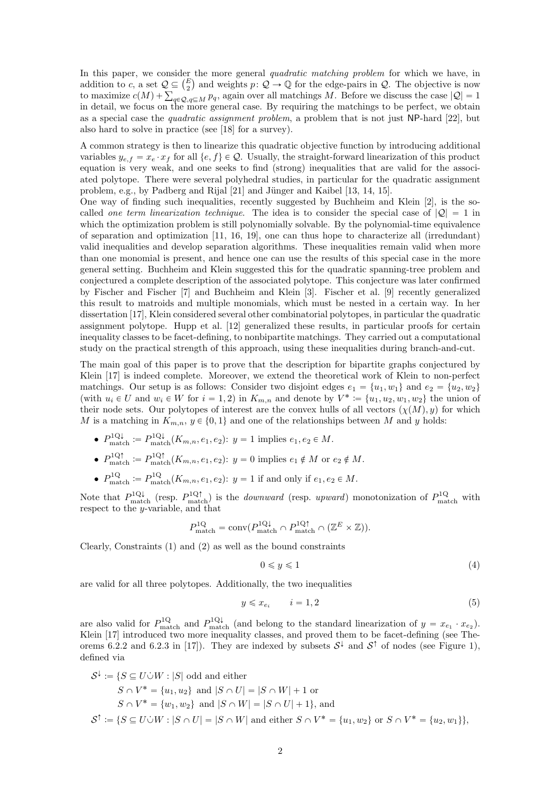In this paper, we consider the more general *quadratic matching problem* for which we have, in addition to c, a set  $\mathcal{Q} \subseteq \binom{E}{2}$  and weights  $p: \mathcal{Q} \to \mathbb{Q}$  for the edge-pairs in  $\mathcal{Q}$ . The objective is now to maximize  $c(M) + \sum_{q \in \mathcal{Q}, q \subseteq M} p_q$ , again over all matchings M. Before we discuss the case  $|\mathcal{Q}| = 1$ in detail, we focus on the more general case. By requiring the matchings to be perfect, we obtain as a special case the quadratic assignment problem, a problem that is not just NP-hard [\[22\]](#page-26-3), but also hard to solve in practice (see [\[18\]](#page-26-4) for a survey).

A common strategy is then to linearize this quadratic objective function by introducing additional variables  $y_{e,f} = x_e \cdot x_f$  for all  $\{e, f\} \in \mathcal{Q}$ . Usually, the straight-forward linearization of this product equation is very weak, and one seeks to find (strong) inequalities that are valid for the associated polytope. There were several polyhedral studies, in particular for the quadratic assignment problem, e.g., by Padberg and Rijal [\[21\]](#page-26-5) and Jünger and Kaibel [\[13,](#page-26-6) [14,](#page-26-7) [15\]](#page-26-8).

One way of finding such inequalities, recently suggested by Buchheim and Klein [\[2\]](#page-25-3), is the socalled one term linearization technique. The idea is to consider the special case of  $|Q| = 1$  in which the optimization problem is still polynomially solvable. By the polynomial-time equivalence of separation and optimization [\[11,](#page-26-9) [16,](#page-26-10) [19\]](#page-26-11), one can thus hope to characterize all (irredundant) valid inequalities and develop separation algorithms. These inequalities remain valid when more than one monomial is present, and hence one can use the results of this special case in the more general setting. Buchheim and Klein suggested this for the quadratic spanning-tree problem and conjectured a complete description of the associated polytope. This conjecture was later confirmed by Fischer and Fischer [\[7\]](#page-26-12) and Buchheim and Klein [\[3\]](#page-25-4). Fischer et al. [\[9\]](#page-26-13) recently generalized this result to matroids and multiple monomials, which must be nested in a certain way. In her dissertation [\[17\]](#page-26-14), Klein considered several other combinatorial polytopes, in particular the quadratic assignment polytope. Hupp et al. [\[12\]](#page-26-15) generalized these results, in particular proofs for certain inequality classes to be facet-defining, to nonbipartite matchings. They carried out a computational study on the practical strength of this approach, using these inequalities during branch-and-cut.

The main goal of this paper is to prove that the description for bipartite graphs conjectured by Klein [\[17\]](#page-26-14) is indeed complete. Moreover, we extend the theoretical work of Klein to non-perfect matchings. Our setup is as follows: Consider two disjoint edges  $e_1 = \{u_1, w_1\}$  and  $e_2 = \{u_2, w_2\}$ (with  $u_i \in U$  and  $w_i \in W$  for  $i = 1, 2$ ) in  $K_{m,n}$  and denote by  $V^* := \{u_1, u_2, w_1, w_2\}$  the union of their node sets. Our polytopes of interest are the convex hulls of all vectors  $(\chi(M), y)$  for which M is a matching in  $K_{m,n}$ ,  $y \in \{0, 1\}$  and one of the relationships between M and y holds:

- $P_{\text{match}}^{1Q\downarrow} := P_{\text{match}}^{1Q\downarrow}(K_{m,n}, e_1, e_2): y = 1$  implies  $e_1, e_2 \in M$ .
- $P_{\text{match}}^{1Q\uparrow} := P_{\text{match}}^{1Q\uparrow}(K_{m,n}, e_1, e_2): y = 0$  implies  $e_1 \notin M$  or  $e_2 \notin M$ .
- $P_{\text{match}}^{1Q} := P_{\text{match}}^{1Q}(K_{m,n}, e_1, e_2); y = 1$  if and only if  $e_1, e_2 \in M$ .

Note that  $P_{\text{match}}^{1Q\downarrow}$  (resp.  $P_{\text{match}}^{1Q\uparrow}$ ) is the *downward* (resp. upward) monotonization of  $P_{\text{match}}^{1Q}$  with respect to the y-variable, and that

$$
P_{\text{match}}^{1\text{Q}} = \text{conv}(P_{\text{match}}^{1\text{Q}\downarrow} \cap P_{\text{match}}^{1\text{Q}\uparrow} \cap (\mathbb{Z}^{E} \times \mathbb{Z})).
$$

Clearly, Constraints [\(1\)](#page-0-1) and [\(2\)](#page-0-0) as well as the bound constraints

<span id="page-1-1"></span><span id="page-1-0"></span>
$$
0 \leqslant y \leqslant 1\tag{4}
$$

are valid for all three polytopes. Additionally, the two inequalities

$$
y \leqslant x_{e_i} \qquad i = 1, 2 \tag{5}
$$

are also valid for  $P_{\text{match}}^{1Q}$  and  $P_{\text{match}}^{1Q\downarrow}$  (and belong to the standard linearization of  $y = x_{e_1} \cdot x_{e_2}$ ). Klein [\[17\]](#page-26-14) introduced two more inequality classes, and proved them to be facet-defining (see The-orems 6.2.2 and 6.2.3 in [\[17\]](#page-26-14)). They are indexed by subsets  $S^{\downarrow}$  and  $S^{\uparrow}$  of nodes (see Figure [1\)](#page-2-0), defined via

$$
\mathcal{S}^{\downarrow} := \{ S \subseteq U \dot{\cup} W : |S| \text{ odd and either}
$$
  
\n
$$
S \cap V^* = \{u_1, u_2\} \text{ and } |S \cap U| = |S \cap W| + 1 \text{ or}
$$
  
\n
$$
S \cap V^* = \{w_1, w_2\} \text{ and } |S \cap W| = |S \cap U| + 1\},
$$
and  
\n
$$
\mathcal{S}^{\uparrow} := \{ S \subseteq U \dot{\cup} W : |S \cap U| = |S \cap W| \text{ and either } S \cap V^* = \{u_1, w_2\} \text{ or } S \cap V^* = \{u_2, w_1\}\},
$$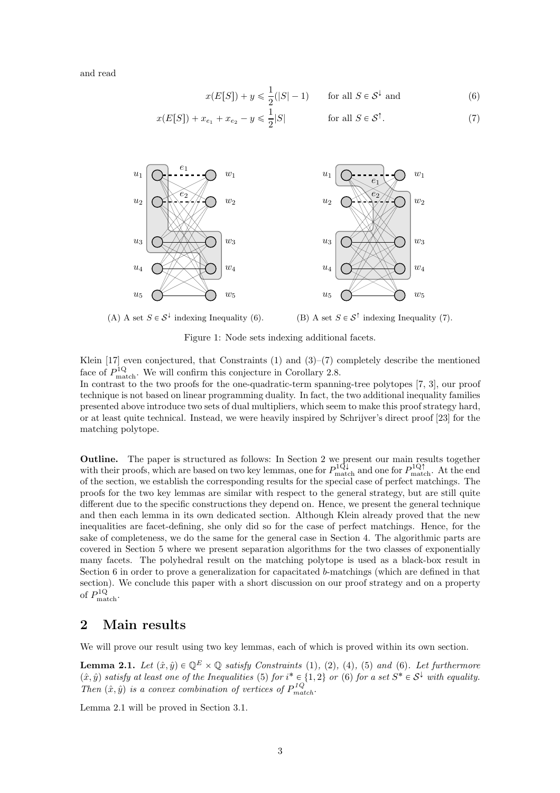and read

<span id="page-2-1"></span>
$$
x(E[S]) + y \le \frac{1}{2}(|S| - 1) \qquad \text{for all } S \in \mathcal{S}^{\downarrow} \text{ and} \tag{6}
$$

$$
x(E[S]) + x_{e_1} + x_{e_2} - y \le \frac{1}{2}|S| \quad \text{for all } S \in S^{\uparrow}.
$$
 (7)

<span id="page-2-0"></span>

(A) A set  $S \in \mathcal{S}^{\downarrow}$  indexing Inequality [\(6\)](#page-2-1).

<span id="page-2-2"></span>(B) A set  $S \in \mathcal{S}^{\uparrow}$  indexing Inequality [\(7\)](#page-2-2).

Figure 1: Node sets indexing additional facets.

Klein [\[17\]](#page-26-14) even conjectured, that Constraints [\(1\)](#page-0-1) and [\(3\)](#page-0-2)–[\(7\)](#page-2-2) completely describe the mentioned face of  $P_{\text{match}}^{1Q}$ . We will confirm this conjecture in Corollary [2.8.](#page-4-0)

In contrast to the two proofs for the one-quadratic-term spanning-tree polytopes [\[7,](#page-26-12) [3\]](#page-25-4), our proof technique is not based on linear programming duality. In fact, the two additional inequality families presented above introduce two sets of dual multipliers, which seem to make this proof strategy hard, or at least quite technical. Instead, we were heavily inspired by Schrijver's direct proof [\[23\]](#page-26-0) for the matching polytope.

Outline. The paper is structured as follows: In Section [2](#page-2-3) we present our main results together with their proofs, which are based on two key lemmas, one for  $P_{\text{match}}^{1Q\downarrow}$  and one for  $P_{\text{match}}^{1Q\uparrow}$ . At the end of the section, we establish the corresponding results for the special case of perfect matchings. The proofs for the two key lemmas are similar with respect to the general strategy, but are still quite different due to the specific constructions they depend on. Hence, we present the general technique and then each lemma in its own dedicated section. Although Klein already proved that the new inequalities are facet-defining, she only did so for the case of perfect matchings. Hence, for the sake of completeness, we do the same for the general case in Section [4.](#page-10-0) The algorithmic parts are covered in Section [5](#page-13-0) where we present separation algorithms for the two classes of exponentially many facets. The polyhedral result on the matching polytope is used as a black-box result in Section [6](#page-14-0) in order to prove a generalization for capacitated b-matchings (which are defined in that section). We conclude this paper with a short discussion on our proof strategy and on a property of  $P_{\text{match}}^{1Q}$ .

# <span id="page-2-3"></span>2 Main results

We will prove our result using two key lemmas, each of which is proved within its own section.

<span id="page-2-4"></span>**Lemma 2.1.** Let  $(\hat{x}, \hat{y}) \in \mathbb{Q}^E \times \mathbb{Q}$  satisfy Constraints [\(1\)](#page-0-1), [\(2\)](#page-0-0), [\(4\)](#page-1-0), [\(5\)](#page-1-1) and [\(6\)](#page-2-1). Let furthermore  $(\hat{x}, \hat{y})$  satisfy at least one of the Inequalities [\(5\)](#page-1-1) for  $i^* \in \{1, 2\}$  or [\(6\)](#page-2-1) for a set  $S^* \in S^{\downarrow}$  with equality. Then  $(\hat{x}, \hat{y})$  is a convex combination of vertices of  $P_{match}^{1Q}$ .

Lemma [2.1](#page-2-4) will be proved in Section [3.1.](#page-5-0)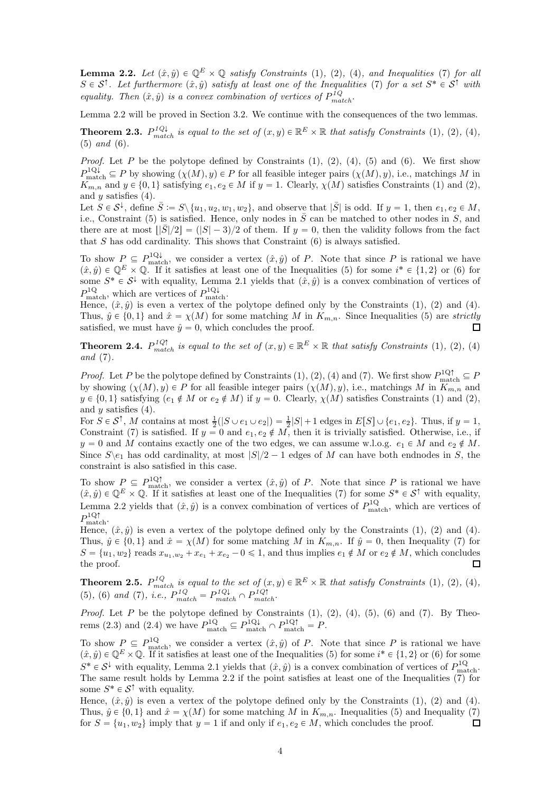<span id="page-3-0"></span>**Lemma 2.2.** Let  $(\hat{x}, \hat{y}) \in \mathbb{Q}^E \times \mathbb{Q}$  satisfy Constraints [\(1\)](#page-0-1), [\(2\)](#page-0-0), [\(4\)](#page-1-0), and Inequalities [\(7\)](#page-2-2) for all  $S \in S^{\uparrow}$ . Let furthermore  $(\hat{x}, \hat{y})$  satisfy at least one of the Inequalities [\(7\)](#page-2-2) for a set  $S^* \in S^{\uparrow}$  with equality. Then  $(\hat{x}, \hat{y})$  is a convex combination of vertices of  $P_{match}^{1Q}$ .

Lemma [2.2](#page-3-0) will be proved in Section [3.2.](#page-7-0) We continue with the consequences of the two lemmas.

<span id="page-3-1"></span>**Theorem 2.3.**  $P_{match}^{1Q\downarrow}$  is equal to the set of  $(x, y) \in \mathbb{R}^{E} \times \mathbb{R}$  that satisfy Constraints [\(1\)](#page-0-1), [\(2\)](#page-0-0), [\(4\)](#page-1-0), [\(5\)](#page-1-1) and [\(6\)](#page-2-1).

*Proof.* Let P be the polytope defined by Constraints  $(1), (2), (4), (5)$  $(1), (2), (4), (5)$  $(1), (2), (4), (5)$  $(1), (2), (4), (5)$  $(1), (2), (4), (5)$  $(1), (2), (4), (5)$  and  $(6)$ . We first show  $P_{\text{match}}^{\text{1Q}\downarrow} \subseteq P$  by showing  $(\chi(M), y) \in P$  for all feasible integer pairs  $(\chi(M), y)$ , i.e., matchings M in  $K_{m,n}$  and  $y \in \{0, 1\}$  satisfying  $e_1, e_2 \in M$  if  $y = 1$ . Clearly,  $\chi(M)$  satisfies Constraints [\(1\)](#page-0-1) and [\(2\)](#page-0-0), and  $y$  satisfies  $(4)$ .

Let  $S \in \mathcal{S}^{\downarrow}$ , define  $\overline{S} := S \setminus \{u_1, u_2, w_1, w_2\}$ , and observe that  $|\overline{S}|$  is odd. If  $y = 1$ , then  $e_1, e_2 \in M$ , i.e., Constraint [\(5\)](#page-1-1) is satisfied. Hence, only nodes in  $\overline{S}$  can be matched to other nodes in S, and there are at most  $\frac{|S|}{2} = (|S| - 3)/2$  of them. If  $y = 0$ , then the validity follows from the fact that  $S$  has odd cardinality. This shows that Constraint  $(6)$  is always satisfied.

To show  $P_{\text{match}} \subseteq P_{\text{match}}^{1Q\downarrow}$ , we consider a vertex  $(\hat{x}, \hat{y})$  of P. Note that since P is rational we have  $(\hat{x}, \hat{y}) \in \mathbb{Q}^E \times \mathbb{Q}$ . If it satisfies at least one of the Inequalities [\(5\)](#page-1-1) for some  $i^* \in \{1, 2\}$  or [\(6\)](#page-2-1) for some  $S^* \in \mathcal{S}^{\downarrow}$  with equality, Lemma [2.1](#page-2-4) yields that  $(\hat{x}, \hat{y})$  is a convex combination of vertices of  $P_{\text{match}}^{1Q}$ , which are vertices of  $P_{\text{match}}^{1Q\downarrow}$ .

Hence,  $(\hat{x}, \hat{y})$  is even a vertex of the polytope defined only by the Constraints [\(1\)](#page-0-1), [\(2\)](#page-0-0) and [\(4\)](#page-1-0). Thus,  $\hat{y} \in \{0, 1\}$  and  $\hat{x} = \chi(M)$  for some matching M in  $K_{m,n}$ . Since Inequalities [\(5\)](#page-1-1) are strictly satisfied, we must have  $\hat{y} = 0$ , which concludes the proof.  $\Box$ 

<span id="page-3-2"></span>**Theorem 2.4.**  $P_{match}^{1Q\uparrow}$  is equal to the set of  $(x, y) \in \mathbb{R}^E \times \mathbb{R}$  that satisfy Constraints [\(1\)](#page-0-1), [\(2\)](#page-0-0), [\(4\)](#page-1-0) and [\(7\)](#page-2-2).

*Proof.* Let P be the polytope defined by Constraints [\(1\)](#page-0-1), [\(2\)](#page-0-0), [\(4\)](#page-1-0) and [\(7\)](#page-2-2). We first show  $P_{\text{match}}^{1Q\uparrow} \subseteq P$ by showing  $(\chi(M), y) \in P$  for all feasible integer pairs  $(\chi(M), y)$ , i.e., matchings M in  $K_{m,n}$  and  $y \in \{0, 1\}$  satisfying  $(e_1 \notin M \text{ or } e_2 \notin M)$  if  $y = 0$ . Clearly,  $\chi(M)$  satisfies Constraints [\(1\)](#page-0-1) and [\(2\)](#page-0-0), and  $y$  satisfies  $(4)$ .

For  $S \in \mathcal{S}^{\uparrow}$ , M contains at most  $\frac{1}{2}(|S \cup e_1 \cup e_2|) = \frac{1}{2}|S| + 1$  edges in  $E[S] \cup \{e_1, e_2\}$ . Thus, if  $y = 1$ , Constraint [\(7\)](#page-2-2) is satisfied. If  $y = 0$  and  $e_1, e_2 \notin M$ , then it is trivially satisfied. Otherwise, i.e., if  $y = 0$  and M contains exactly one of the two edges, we can assume w.l.o.g.  $e_1 \in M$  and  $e_2 \notin M$ . Since  $S \ge \alpha_1$  has odd cardinality, at most  $|S|/2 - 1$  edges of M can have both endnodes in S, the constraint is also satisfied in this case.

To show  $P \subseteq P_{\text{match}}^{1Q\uparrow}$ , we consider a vertex  $(\hat{x}, \hat{y})$  of P. Note that since P is rational we have  $(\hat{x}, \hat{y}) \in \mathbb{Q}^E \times \mathbb{Q}$ . If it satisfies at least one of the Inequalities [\(7\)](#page-2-2) for some  $S^* \in \mathcal{S}^{\uparrow}$  with equality, Lemma [2.2](#page-3-0) yields that  $(\hat{x}, \hat{y})$  is a convex combination of vertices of  $P_{\text{match}}^{1Q}$ , which are vertices of  $P^{\rm 1Q\uparrow}_{\rm match}.$ 

Hence,  $(\hat{x}, \hat{y})$  is even a vertex of the polytope defined only by the Constraints [\(1\)](#page-0-1), [\(2\)](#page-0-0) and [\(4\)](#page-1-0). Thus,  $\hat{y} \in \{0, 1\}$  and  $\hat{x} = \chi(M)$  for some matching M in  $K_{m,n}$ . If  $\hat{y} = 0$ , then Inequality [\(7\)](#page-2-2) for  $S = \{u_1, w_2\}$  reads  $x_{u_1, w_2} + x_{e_1} + x_{e_2} - 0 \leq 1$ , and thus implies  $e_1 \notin M$  or  $e_2 \notin M$ , which concludes the proof.  $\Box$ 

<span id="page-3-3"></span>**Theorem 2.5.**  $P_{match}^{1Q}$  is equal to the set of  $(x, y) \in \mathbb{R}^{E} \times \mathbb{R}$  that satisfy Constraints [\(1\)](#page-0-1), [\(2\)](#page-0-0), [\(4\)](#page-1-0), [\(5\)](#page-1-1), [\(6\)](#page-2-1) and [\(7\)](#page-2-2), i.e.,  $P_{match}^{1Q} = P_{match}^{1Q\downarrow} \cap P_{match}^{1Q\uparrow}$ .

*Proof.* Let P be the polytope defined by Constraints  $(1), (2), (4), (5), (6)$  $(1), (2), (4), (5), (6)$  $(1), (2), (4), (5), (6)$  $(1), (2), (4), (5), (6)$  $(1), (2), (4), (5), (6)$  $(1), (2), (4), (5), (6)$  $(1), (2), (4), (5), (6)$  $(1), (2), (4), (5), (6)$  and  $(7)$ . By Theo-rems [\(2.3\)](#page-3-1) and [\(2.4\)](#page-3-2) we have  $P_{\text{match}}^{\text{1Q}} \subseteq P_{\text{match}}^{\text{1Q}\downarrow} \cap P_{\text{match}}^{\text{1Q}\uparrow} = P$ .

To show  $P \subseteq P_{\text{match}}^{1Q}$ , we consider a vertex  $(\hat{x}, \hat{y})$  of P. Note that since P is rational we have  $(\hat{x}, \hat{y}) \in \mathbb{Q}^E \times \mathbb{Q}$ . If it satisfies at least one of the Inequalities [\(5\)](#page-1-1) for some  $i^* \in \{1, 2\}$  or [\(6\)](#page-2-1) for some  $S^* \in \mathcal{S}^{\downarrow}$  with equality, Lemma [2.1](#page-2-4) yields that  $(\hat{x}, \hat{y})$  is a convex combination of vertices of  $P_{\text{match}}^{1Q}$ . The same result holds by Lemma [2.2](#page-3-0) if the point satisfies at least one of the Inequalities [\(7\)](#page-2-2) for some  $S^* \in \mathcal{S}^{\uparrow}$  with equality.

Hence,  $(\hat{x}, \hat{y})$  is even a vertex of the polytope defined only by the Constraints [\(1\)](#page-0-1), [\(2\)](#page-0-0) and [\(4\)](#page-1-0). Thus,  $\hat{y} \in \{0, 1\}$  and  $\hat{x} = \chi(M)$  for some matching M in  $K_{m,n}$ . Inequalities [\(5\)](#page-1-1) and Inequality [\(7\)](#page-2-2) for  $S = \{u_1, w_2\}$  imply that  $y = 1$  if and only if  $e_1, e_2 \in M$ , which concludes the proof.  $\Box$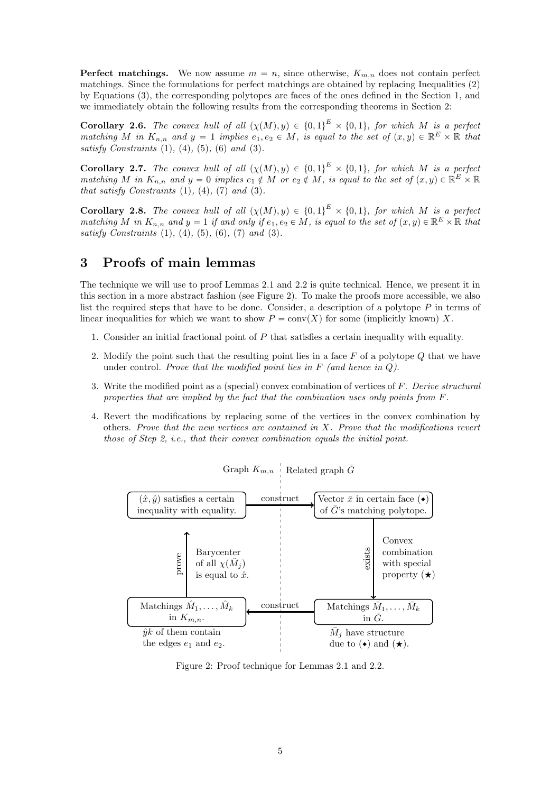**Perfect matchings.** We now assume  $m = n$ , since otherwise,  $K_{m,n}$  does not contain perfect matchings. Since the formulations for perfect matchings are obtained by replacing Inequalities [\(2\)](#page-0-0) by Equations [\(3\)](#page-0-2), the corresponding polytopes are faces of the ones defined in the Section [1,](#page-0-3) and we immediately obtain the following results from the corresponding theorems in Section [2:](#page-2-3)

**Corollary 2.6.** The convex hull of all  $(\chi(M), y) \in \{0, 1\}^E \times \{0, 1\}$ , for which M is a perfect matching M in  $K_{n,n}$  and  $y = 1$  implies  $e_1, e_2 \in M$ , is equal to the set of  $(x, y) \in \mathbb{R}^E \times \mathbb{R}$  that satisfy Constraints  $(1)$ ,  $(4)$ ,  $(5)$ ,  $(6)$  and  $(3)$ .

**Corollary 2.7.** The convex hull of all  $(\chi(M), y) \in \{0, 1\}^E \times \{0, 1\}$ , for which M is a perfect matching M in  $K_{n,n}$  and  $y = 0$  implies  $e_1 \notin M$  or  $e_2 \notin M$ , is equal to the set of  $(x, y) \in \mathbb{R}^E \times \mathbb{R}$ that satisfy Constraints  $(1), (4), (7)$  $(1), (4), (7)$  $(1), (4), (7)$  $(1), (4), (7)$  $(1), (4), (7)$  and  $(3)$ .

<span id="page-4-0"></span>**Corollary 2.8.** The convex hull of all  $(\chi(M), y) \in \{0, 1\}^E \times \{0, 1\}$ , for which M is a perfect matching M in  $K_{n,n}$  and  $y = 1$  if and only if  $e_1, e_2 \in M$ , is equal to the set of  $(x, y) \in \mathbb{R}^E \times \mathbb{R}$  that satisfy Constraints  $(1)$ ,  $(4)$ ,  $(5)$ ,  $(6)$ ,  $(7)$  and  $(3)$ .

# <span id="page-4-2"></span>3 Proofs of main lemmas

The technique we will use to proof Lemmas [2.1](#page-2-4) and [2.2](#page-3-0) is quite technical. Hence, we present it in this section in a more abstract fashion (see Figure [2\)](#page-4-1). To make the proofs more accessible, we also list the required steps that have to be done. Consider, a description of a polytope  $P$  in terms of linear inequalities for which we want to show  $P = \text{conv}(X)$  for some (implicitly known) X.

- 1. Consider an initial fractional point of  $P$  that satisfies a certain inequality with equality.
- 2. Modify the point such that the resulting point lies in a face  $F$  of a polytope  $Q$  that we have under control. Prove that the modified point lies in  $F$  (and hence in  $Q$ ).
- 3. Write the modified point as a (special) convex combination of vertices of  $F$ . Derive structural properties that are implied by the fact that the combination uses only points from F.
- <span id="page-4-1"></span>4. Revert the modifications by replacing some of the vertices in the convex combination by others. Prove that the new vertices are contained in X. Prove that the modifications revert those of Step 2, i.e., that their convex combination equals the initial point.



Graph  $K_{m,n}$  Related graph  $\bar{G}$ 

Figure 2: Proof technique for Lemmas [2.1](#page-2-4) and [2.2.](#page-3-0)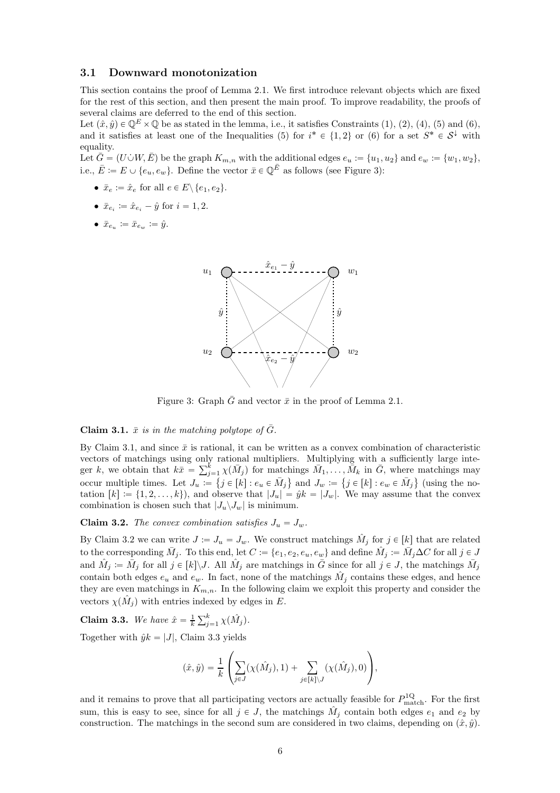#### <span id="page-5-0"></span>3.1 Downward monotonization

This section contains the proof of Lemma [2.1.](#page-2-4) We first introduce relevant objects which are fixed for the rest of this section, and then present the main proof. To improve readability, the proofs of several claims are deferred to the end of this section.

Let  $(\hat{x}, \hat{y}) \in \mathbb{O}^E \times \mathbb{O}$  be as stated in the lemma, i.e., it satisfies Constraints [\(1\)](#page-0-1), [\(2\)](#page-0-0), [\(4\)](#page-1-0), [\(5\)](#page-1-1) and [\(6\)](#page-2-1), and it satisfies at least one of the Inequalities [\(5\)](#page-1-1) for  $i^* \in \{1,2\}$  or [\(6\)](#page-2-1) for a set  $S^* \in \mathcal{S}^{\downarrow}$  with equality.

Let  $\bar{G} = (U \dot{\cup} W, \bar{E})$  be the graph  $K_{m,n}$  with the additional edges  $e_u := \{u_1, u_2\}$  and  $e_w := \{w_1, w_2\}$ , i.e.,  $\bar{E} := E \cup \{e_u, e_w\}$ . Define the vector  $\bar{x} \in \mathbb{Q}^{\bar{E}}$  as follows (see Figure [3\)](#page-5-1):

- $\bar{x}_e := \hat{x}_e$  for all  $e \in E \setminus \{e_1, e_2\}.$
- $\bar{x}_{e_i} := \hat{x}_{e_i} \hat{y}$  for  $i = 1, 2$ .
- <span id="page-5-1"></span> $\bullet\ \ \bar{x}_{e_u}\coloneqq \bar{x}_{e_w}\coloneqq \hat{y}.$



Figure 3: Graph  $\bar{G}$  and vector  $\bar{x}$  in the proof of Lemma [2.1.](#page-2-4)

<span id="page-5-2"></span>**Claim 3.1.**  $\bar{x}$  is in the matching polytope of  $\bar{G}$ .

combination is chosen such that  $|J_u \backslash J_w|$  is minimum. By Claim [3.1,](#page-5-2) and since  $\bar{x}$  is rational, it can be written as a convex combination of characteristic vectors of matchings using only rational multipliers. Multiplying with a sufficiently large integer k, we obtain that  $k\bar{x} = \sum_{j=1}^{k} \chi(\bar{M}_j)$  for matchings  $\bar{M}_1, \ldots, \bar{M}_k$  in  $\bar{G}$ , where matchings may occur multiple times. Let  $J_u := \{ j \in [k] : e_u \in \bar{M}_j \}$  and  $J_w := \{ j \in [k] : e_w \in \bar{M}_j \}$  (using the notation  $[k] := \{1, 2, \ldots, k\}$ , and observe that  $|J_u| = \hat{y}k = |J_w|$ . We may assume that the convex

<span id="page-5-3"></span>**Claim 3.2.** The convex combination satisfies  $J_u = J_w$ .

By Claim [3.2](#page-5-3) we can write  $J := J_u = J_w$ . We construct matchings  $\hat{M}_j$  for  $j \in [k]$  that are related to the corresponding  $\bar{M}_j$ . To this end, let  $C \coloneqq \{e_1, e_2, e_u, e_w\}$  and define  $\hat{M}_j \coloneqq \bar{M}_j \Delta C$  for all  $j \in J$ and  $\hat{M}_j := \bar{M}_j$  for all  $j \in [k] \backslash J$ . All  $\hat{M}_j$  are matchings in  $\bar{G}$  since for all  $j \in J$ , the matchings  $\bar{M}_j$ contain both edges  $e_u$  and  $e_w$ . In fact, none of the matchings  $\hat{M}_j$  contains these edges, and hence they are even matchings in  $K_{m,n}$ . In the following claim we exploit this property and consider the vectors  $\chi(\hat{M}_j)$  with entries indexed by edges in E.

<span id="page-5-4"></span>**Claim 3.3.** We have  $\hat{x} = \frac{1}{k} \sum_{j=1}^{k} \chi(\hat{M}_j)$ .

Together with  $\hat{y}k = |J|$ , Claim [3.3](#page-5-4) yields

$$
(\hat{x}, \hat{y}) = \frac{1}{k} \left( \sum_{j \in J} (\chi(\hat{M}_j), 1) + \sum_{j \in [k] \setminus J} (\chi(\hat{M}_j), 0) \right),
$$

and it remains to prove that all participating vectors are actually feasible for  $P_{\text{match}}^{1Q}$ . For the first sum, this is easy to see, since for all  $j \in J$ , the matchings  $\hat{M}_j$  contain both edges  $e_1$  and  $e_2$  by construction. The matchings in the second sum are considered in two claims, depending on  $(\hat{x}, \hat{y})$ .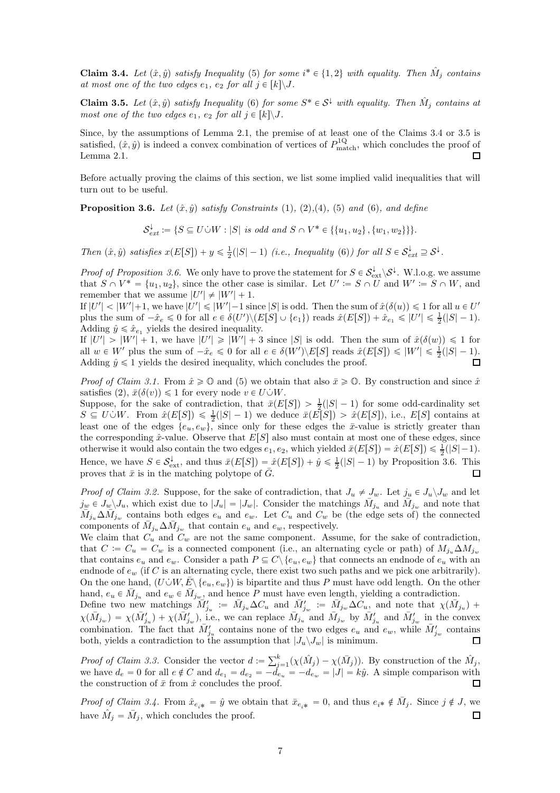<span id="page-6-0"></span>**Claim 3.4.** Let  $(\hat{x}, \hat{y})$  satisfy Inequality [\(5\)](#page-1-1) for some  $i^* \in \{1, 2\}$  with equality. Then  $\hat{M}_j$  contains at most one of the two edges  $e_1$ ,  $e_2$  for all  $j \in [k] \backslash J$ .

<span id="page-6-1"></span>**Claim 3.5.** Let  $(\hat{x}, \hat{y})$  satisfy Inequality [\(6\)](#page-2-1) for some  $S^* \in S^{\downarrow}$  with equality. Then  $\hat{M}_j$  contains at most one of the two edges  $e_1$ ,  $e_2$  for all  $j \in [k] \backslash J$ .

Since, by the assumptions of Lemma [2.1,](#page-2-4) the premise of at least one of the Claims [3.4](#page-6-0) or [3.5](#page-6-1) is satisfied,  $(\hat{x}, \hat{y})$  is indeed a convex combination of vertices of  $P_{\text{match}}^{1Q}$ , which concludes the proof of Lemma [2.1.](#page-2-4)

Before actually proving the claims of this section, we list some implied valid inequalities that will turn out to be useful.

<span id="page-6-2"></span>**Proposition 3.6.** Let  $(\hat{x}, \hat{y})$  satisfy Constraints [\(1\)](#page-0-1), [\(2\)](#page-0-0),[\(4\)](#page-1-0), [\(5\)](#page-1-1) and [\(6\)](#page-2-1), and define

 $\mathcal{S}^{\downarrow}_{ext} := \{ S \subseteq U \cup W : |S| \text{ is odd and } S \cap V^* \in \{ \{u_1, u_2\}, \{w_1, w_2\} \} \}.$ 

Then  $(\hat{x}, \hat{y})$  satisfies  $x(E[S]) + y \leq \frac{1}{2}(|S|-1)$  (i.e., Inequality [\(6\)](#page-2-1)) for all  $S \in \mathcal{S}_{ext}^{\downarrow} \supseteq \mathcal{S}^{\downarrow}$ .

*Proof of Proposition [3.6.](#page-6-2)* We only have to prove the statement for  $S \in \mathcal{S}_{ext}^{\downarrow} \backslash \mathcal{S}^{\downarrow}$ . W.l.o.g. we assume that  $S \cap V^* = \{u_1, u_2\}$ , since the other case is similar. Let  $U' \coloneqq S \cap U$  and  $W' \coloneqq S \cap W$ , and remember that we assume  $|U'| \neq |W'| + 1$ .

If  $|U'| < |W'| + 1$ , we have  $|U'| \leq |W'| - 1$  since  $|S|$  is odd. Then the sum of  $\hat{x}(\delta(u)) \leq 1$  for all  $u \in U'$ plus the sum of  $-\hat{x}_e \leq 0$  for all  $e \in \delta(U') \setminus (E[S] \cup \{e_1\})$  reads  $\hat{x}(E[S]) + \hat{x}_{e_1} \leq |U'| \leq \frac{1}{2}(|S|-1)$ . Adding  $\hat{y} \leq \hat{x}_{e_1}$  yields the desired inequality.

If  $|U'| > |W'| + 1$ , we have  $|U'| \geq |W'| + 3$  since  $|S|$  is odd. Then the sum of  $\hat{x}(\delta(w)) \leq 1$  for all  $w \in W'$  plus the sum of  $-\hat{x}_e \leq 0$  for all  $e \in \delta(W')\backslash E[S]$  reads  $\hat{x}(E[S]) \leq |W'| \leq \frac{1}{2}(|S|-1)$ . Adding  $\hat{y} \leq 1$  yields the desired inequality, which concludes the proof.  $\Box$ 

*Proof of Claim [3.1.](#page-5-2)* From  $\hat{x} \ge 0$  and [\(5\)](#page-1-1) we obtain that also  $\bar{x} \ge 0$ . By construction and since  $\hat{x}$ satisfies [\(2\)](#page-0-0),  $\bar{x}(\delta(v)) \leq 1$  for every node  $v \in U\dot{\cup}W$ .

Suppose, for the sake of contradiction, that  $\bar{x}(E[S]) > \frac{1}{2}(|S| - 1)$  for some odd-cardinality set  $S \subseteq U \cup W$ . From  $\hat{x}(E[S]) \leq \frac{1}{2}(|S|-1)$  we deduce  $\bar{x}(E[S]) > \hat{x}(E[S])$ , i.e.,  $E[S]$  contains at least one of the edges  $\{e_u, e_w\}$ , since only for these edges the  $\bar{x}$ -value is strictly greater than the corresponding  $\hat{x}$ -value. Observe that  $E[S]$  also must contain at most one of these edges, since otherwise it would also contain the two edges  $e_1, e_2$ , which yielded  $\bar{x}(E[S]) = \hat{x}(E[S]) \le \frac{1}{2}(|S|-1)$ . Hence, we have  $S \in \mathcal{S}_{ext}^{\downarrow}$ , and thus  $\bar{x}(E[S]) = \hat{x}(E[S]) + \hat{y} \le \frac{1}{2}(|S|-1)$  by Proposition [3.6.](#page-6-2) This proves that  $\bar{x}$  is in the matching polytope of  $\bar{G}$ .  $\Box$ 

*Proof of Claim [3.2.](#page-5-3)* Suppose, for the sake of contradiction, that  $J_u \neq J_w$ . Let  $j_u \in J_u \setminus J_w$  and let  $j_w \in J_w \backslash J_u$ , which exist due to  $|J_u| = |J_w|$ . Consider the matchings  $\bar{M}_{j_u}$  and  $\bar{M}_{j_w}$  and note that  $\overline{M}_{j_u}\Delta \overline{M}_{j_w}$  contains both edges  $e_u$  and  $e_w$ . Let  $C_u$  and  $C_w$  be (the edge sets of) the connected components of  $\bar{M}_{j_u} \Delta \bar{M}_{j_w}$  that contain  $e_u$  and  $e_w$ , respectively.

We claim that  $C_u$  and  $C_w$  are not the same component. Assume, for the sake of contradiction, that  $C := C_u = C_w$  is a connected component (i.e., an alternating cycle or path) of  $M_{j_u} \Delta M_{j_w}$ that contains  $e_u$  and  $e_w$ . Consider a path  $P \subseteq C \setminus \{e_u, e_w\}$  that connects an endnode of  $e_u$  with an endnode of  $e_w$  (if C is an alternating cycle, there exist two such paths and we pick one arbitrarily). On the one hand,  $(U\dot{\cup}W, \bar{E}\backslash\{e_u, e_w\})$  is bipartite and thus P must have odd length. On the other hand,  $e_u \in \overline{M}_{j_u}$  and  $e_w \in \overline{M}_{j_w}$ , and hence P must have even length, yielding a contradiction.

Define two new matchings  $\overline{M}'_{j_u} := \overline{M}_{j_u} \Delta C_u$  and  $\overline{M}'_{j_w} := \overline{M}_{j_w} \Delta C_u$ , and note that  $\chi(\overline{M}_{j_u})$  +  $\chi(\bar{M}_{j_w}) = \chi(\bar{M}'_{j_w}) + \chi(\bar{M}'_{j_w})$ , i.e., we can replace  $\bar{M}_{j_u}$  and  $\bar{M}_{j_w}$  by  $\bar{M}'_{j_u}$  and  $\bar{M}'_{j_w}$  in the convex combination. The fact that  $\bar{M}'_{j_u}$  contains none of the two edges  $e_u$  and  $e_w$ , while  $\bar{M}'_{j_w}$  contains both, yields a contradiction to the assumption that  $|J_u \backslash J_w|$  is minimum.  $\Box$ 

*Proof of Claim [3.3.](#page-5-4)* Consider the vector  $d := \sum_{j=1}^{k} (\chi(\hat{M}_j) - \chi(\bar{M}_j))$ . By construction of the  $\hat{M}_j$ , we have  $d_e = 0$  for all  $e \notin C$  and  $d_{e_1} = d_{e_2} = -d_{e_u} = -d_{e_w} = |J| = k\hat{y}$ . A simple comparison with the construction of  $\bar{x}$  from  $\hat{x}$  concludes the proof.  $\Box$ 

*Proof of Claim [3.4.](#page-6-0)* From  $\hat{x}_{e_{i^*}} = \hat{y}$  we obtain that  $\bar{x}_{e_{i^*}} = 0$ , and thus  $e_{i^*} \notin \bar{M}_j$ . Since  $j \notin J$ , we have  $\hat{M}_j = \bar{M}_j$ , which concludes the proof.  $\Box$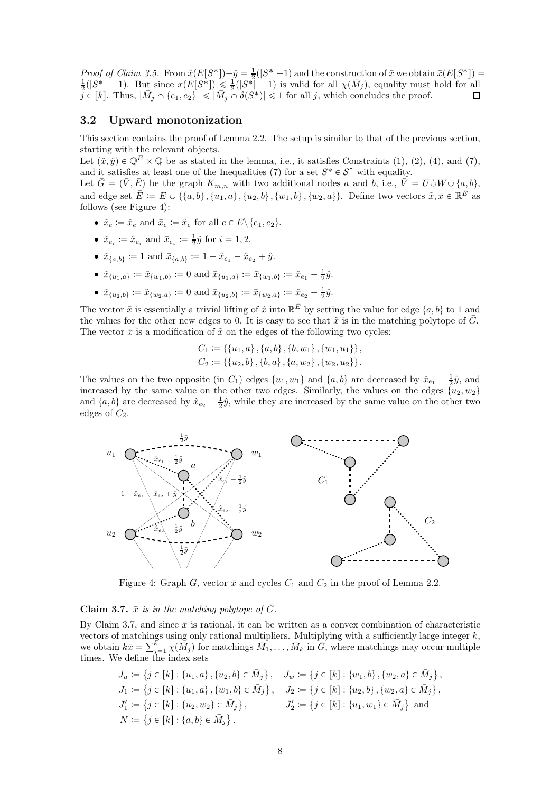Proof of Claim [3.5.](#page-6-1) From  $\hat{x}(E[S^*]) + \hat{y} = \frac{1}{2}(|S^*|-1)$  and the construction of  $\bar{x}$  we obtain  $\bar{x}(E[S^*]) = \frac{1}{2}(|S^*|-1)$ . But since  $x(E[S^*]) \leq \frac{1}{2}(|S^*|-1)$  is valid for all  $\chi(\bar{M}_j)$ , equality must hold for all  $\tilde{j} \in [k]$ . Thus,  $|\bar{M}_j \cap \{e_1, e_2\}| \leqslant |\bar{M}_j \cap \delta(S^*)| \leqslant 1$  for all j, which concludes the proof. □

## <span id="page-7-0"></span>3.2 Upward monotonization

This section contains the proof of Lemma [2.2.](#page-3-0) The setup is similar to that of the previous section, starting with the relevant objects.

Let  $(\hat{x}, \hat{y}) \in \mathbb{O}^E \times \mathbb{O}$  be as stated in the lemma, i.e., it satisfies Constraints [\(1\)](#page-0-1), [\(2\)](#page-0-0), [\(4\)](#page-1-0), and [\(7\)](#page-2-2), and it satisfies at least one of the Inequalities [\(7\)](#page-2-2) for a set  $S^* \in S^{\uparrow}$  with equality.

Let  $\bar{G} = (\bar{V}, \bar{E})$  be the graph  $K_{m,n}$  with two additional nodes a and b, i.e.,  $\bar{V} = U \dot{\cup} W \dot{\cup} \{a, b\}$ , and edge set  $\bar{E} := E \cup \{\{a, b\}, \{u_1, a\}, \{u_2, b\}, \{w_1, b\}, \{w_2, a\}\}\$ . Define two vectors  $\tilde{x}, \bar{x} \in \mathbb{R}^{\bar{E}}$  as follows (see Figure [4\)](#page-7-1):

- $\tilde{x}_e \coloneqq \hat{x}_e$  and  $\bar{x}_e \coloneqq \hat{x}_e$  for all  $e \in E \setminus \{e_1, e_2\}.$
- $\tilde{x}_{e_i} \coloneqq \hat{x}_{e_i}$  and  $\bar{x}_{e_i} \coloneqq \frac{1}{2}\hat{y}$  for  $i = 1, 2$ .
- $\tilde{x}_{\{a,b\}} \coloneqq 1$  and  $\bar{x}_{\{a,b\}} \coloneqq 1 \hat{x}_{e_1} \hat{x}_{e_2} + \hat{y}$ .
- $\tilde{x}_{\{u_1, a\}} \coloneqq \tilde{x}_{\{w_1, b\}} \coloneqq 0$  and  $\bar{x}_{\{u_1, a\}} \coloneqq \bar{x}_{\{w_1, b\}} \coloneqq \hat{x}_{e_1} \frac{1}{2} \hat{y}$ .
- $\tilde{x}_{\{u_2, b\}} \coloneqq \tilde{x}_{\{w_2, a\}} \coloneqq 0$  and  $\bar{x}_{\{u_2, b\}} \coloneqq \bar{x}_{\{w_2, a\}} \coloneqq \hat{x}_{e_2} \frac{1}{2} \hat{y}$ .

The vector  $\tilde{x}$  is essentially a trivial lifting of  $\hat{x}$  into  $\mathbb{R}^{\bar{E}}$  by setting the value for edge  $\{a, b\}$  to 1 and the values for the other new edges to 0. It is easy to see that  $\tilde{x}$  is in the matching polytope of  $\bar{G}$ . The vector  $\bar{x}$  is a modification of  $\tilde{x}$  on the edges of the following two cycles:

$$
C_1 := \{\{u_1, a\}, \{a, b\}, \{b, w_1\}, \{w_1, u_1\}\},
$$
  

$$
C_2 := \{\{u_2, b\}, \{b, a\}, \{a, w_2\}, \{w_2, u_2\}\}.
$$

The values on the two opposite (in  $C_1$ ) edges  $\{u_1, w_1\}$  and  $\{a, b\}$  are decreased by  $\hat{x}_{e_1} - \frac{1}{2}\hat{y}$ , and increased by the same value on the other two edges. Similarly, the values on the edges  $\{u_2, w_2\}$ and  $\{a, b\}$  are decreased by  $\hat{x}_{e_2} - \frac{1}{2}\hat{y}$ , while they are increased by the same value on the other two edges of  $C_2$ .

<span id="page-7-1"></span>

Figure 4: Graph  $\bar{G}$ , vector  $\bar{x}$  and cycles  $C_1$  and  $C_2$  in the proof of Lemma [2.2.](#page-3-0)

#### <span id="page-7-2"></span>**Claim 3.7.**  $\bar{x}$  is in the matching polytope of  $\bar{G}$ .

By Claim [3.7,](#page-7-2) and since  $\bar{x}$  is rational, it can be written as a convex combination of characteristic vectors of matchings using only rational multipliers. Multiplying with a sufficiently large integer  $k$ , we obtain  $k\bar{x} = \sum_{j=1}^{\bar{k}} \chi(\bar{M}_j)$  for matchings  $\bar{M}_1, \ldots, \bar{M}_k$  in  $\bar{G}$ , where matchings may occur multiple times. We define the index sets

$$
J_u := \{ j \in [k] : \{u_1, a\}, \{u_2, b\} \in \bar{M}_j \}, \quad J_w := \{ j \in [k] : \{w_1, b\}, \{w_2, a\} \in \bar{M}_j \},
$$
  
\n
$$
J_1 := \{ j \in [k] : \{u_1, a\}, \{w_1, b\} \in \bar{M}_j \}, \quad J_2 := \{ j \in [k] : \{u_2, b\}, \{w_2, a\} \in \bar{M}_j \},
$$
  
\n
$$
J'_1 := \{ j \in [k] : \{u_2, w_2\} \in \bar{M}_j \}, \quad J'_2 := \{ j \in [k] : \{u_1, w_1\} \in \bar{M}_j \} \text{ and }
$$
  
\n
$$
N := \{ j \in [k] : \{a, b\} \in \bar{M}_j \}.
$$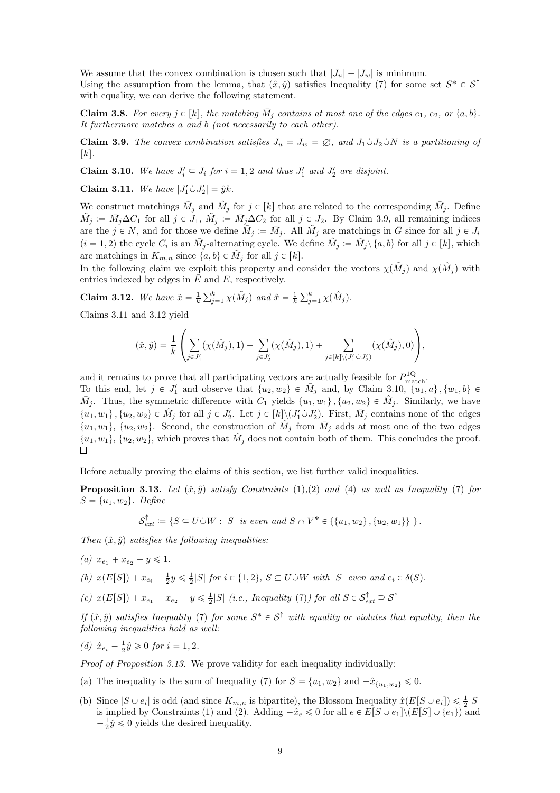We assume that the convex combination is chosen such that  $|J_u| + |J_w|$  is minimum. Using the assumption from the lemma, that  $(\hat{x}, \hat{y})$  satisfies Inequality [\(7\)](#page-2-2) for some set  $S^* \in S^{\uparrow}$ with equality, we can derive the following statement.

<span id="page-8-8"></span>**Claim 3.8.** For every  $j \in [k]$ , the matching  $\overline{M}_j$  contains at most one of the edges  $e_1, e_2,$  or  $\{a, b\}$ . It furthermore matches a and b (not necessarily to each other).

<span id="page-8-0"></span>**Claim 3.9.** The convex combination satisfies  $J_u = J_w = \emptyset$ , and  $J_1 \cup J_2 \cup N$  is a partitioning of  $[k]$ .

<span id="page-8-3"></span>**Claim 3.10.** We have  $J_i' \subseteq J_i$  for  $i = 1, 2$  and thus  $J_1'$  and  $J_2'$  are disjoint.

<span id="page-8-1"></span>**Claim 3.11.** We have  $|J'_1 \dot{\cup} J'_2| = \hat{y}k$ .

We construct matchings  $\tilde{M}_j$  and  $\hat{M}_j$  for  $j \in [k]$  that are related to the corresponding  $\bar{M}_j$ . Define  $\tilde{M}_j := \bar{M}_j \Delta C_1$  for all  $j \in J_1$ ,  $\tilde{M}_j := \bar{M}_j \Delta C_2$  for all  $j \in J_2$ . By Claim [3.9,](#page-8-0) all remaining indices are the  $j \in N$ , and for those we define  $\tilde{M}_j := \bar{M}_j$ . All  $\tilde{M}_j$  are matchings in  $\bar{G}$  since for all  $j \in J_i$  $(i = 1, 2)$  the cycle  $C_i$  is an  $\bar{M}_j$ -alternating cycle. We define  $\hat{M}_j \coloneqq \tilde{M}_j \setminus \{a, b\}$  for all  $j \in [k]$ , which are matchings in  $K_{m,n}$  since  $\{a, b\} \in \tilde{M}_j$  for all  $j \in [k]$ .

In the following claim we exploit this property and consider the vectors  $\chi(\tilde{M}_j)$  and  $\chi(\hat{M}_j)$  with entries indexed by edges in  $E$  and  $E$ , respectively.

<span id="page-8-2"></span>**Claim 3.12.** We have  $\tilde{x} = \frac{1}{k} \sum_{j=1}^{k} \chi(\tilde{M}_j)$  and  $\hat{x} = \frac{1}{k} \sum_{j=1}^{k} \chi(\hat{M}_j)$ .

Claims [3.11](#page-8-1) and [3.12](#page-8-2) yield

$$
(\hat{x}, \hat{y}) = \frac{1}{k} \left( \sum_{j \in J'_1} (\chi(\hat{M}_j), 1) + \sum_{j \in J'_2} (\chi(\hat{M}_j), 1) + \sum_{j \in [k] \setminus (J'_1 \circ J'_2)} (\chi(\hat{M}_j), 0) \right),
$$

and it remains to prove that all participating vectors are actually feasible for  $P_{\text{match}}^{\text{1Q}}$ .

To this end, let  $j \in J'_1$  and observe that  $\{u_2, w_2\} \in \bar{M}_j$  and, by Claim [3.10,](#page-8-3)  $\{u_1, a\}$ ,  $\{w_1, b\} \in$  $\bar{M}_j$ . Thus, the symmetric difference with  $C_1$  yields  $\{u_1, w_1\}$ ,  $\{u_2, w_2\} \in \hat{M}_j$ . Similarly, we have  $\{u_1, w_1\}$ ,  $\{u_2, w_2\} \in \hat{M}_j$  for all  $j \in J'_2$ . Let  $j \in [k] \setminus (J'_1 \dot{\cup} J'_2)$ . First,  $\overline{M}_j$  contains none of the edges  $\{u_1, w_1\}, \{u_2, w_2\}.$  Second, the construction of  $\hat{M}_j$  from  $\bar{M}_j$  adds at most one of the two edges  $\{u_1, w_1\}$ ,  $\{u_2, w_2\}$ , which proves that  $\hat{M}_j$  does not contain both of them. This concludes the proof.  $\Box$ 

Before actually proving the claims of this section, we list further valid inequalities.

<span id="page-8-4"></span>**Proposition 3.13.** Let  $(\hat{x}, \hat{y})$  satisfy Constraints [\(1\)](#page-0-1),[\(2\)](#page-0-0) and [\(4\)](#page-1-0) as well as Inequality [\(7\)](#page-2-2) for  $S = \{u_1, w_2\}$ . Define

 $\mathcal{S}_{ext}^{\uparrow} := \{ S \subseteq U \cup W : |S| \text{ is even and } S \cap V^* \in \{ \{u_1, w_2\}, \{u_2, w_1\} \} \}.$ 

<span id="page-8-6"></span>Then  $(\hat{x}, \hat{y})$  satisfies the following inequalities:

<span id="page-8-5"></span>(a)  $x_{e_1} + x_{e_2} - y \leq 1$ .

<span id="page-8-7"></span>(b)  $x(E[S]) + x_{e_i} - \frac{1}{2}y \le \frac{1}{2}|S|$  for  $i \in \{1, 2\}$ ,  $S \subseteq U \cup W$  with  $|S|$  even and  $e_i \in \delta(S)$ .

(c)  $x(E[S]) + x_{e_1} + x_{e_2} - y \le \frac{1}{2}|S|$  (i.e., Inequality [\(7\)](#page-2-2)) for all  $S \in \mathcal{S}^{\uparrow}_{ext} \supseteq \mathcal{S}^{\uparrow}$ 

If  $(\hat{x}, \hat{y})$  satisfies Inequality [\(7\)](#page-2-2) for some  $S^* \in S^{\uparrow}$  with equality or violates that equality, then the following inequalities hold as well:

(d)  $\hat{x}_{e_i} - \frac{1}{2}\hat{y} \geq 0$  for  $i = 1, 2$ .

Proof of Proposition [3.13.](#page-8-4) We prove validity for each inequality individually:

- (a) The inequality is the sum of Inequality [\(7\)](#page-2-2) for  $S = \{u_1, w_2\}$  and  $-\hat{x}_{\{u_1, w_2\}} \leq 0$ .
- (b) Since  $|S \cup e_i|$  is odd (and since  $K_{m,n}$  is bipartite), the Blossom Inequality  $\hat{x}(E[S \cup e_i]) \leq \frac{1}{2}|S|$ is implied by Constraints [\(1\)](#page-0-1) and [\(2\)](#page-0-0). Adding  $-\hat{x}_e \leq 0$  for all  $e \in E[S \cup e_1] \setminus (E[S] \cup \{e_1\})$  and  $-\frac{1}{2}\hat{y} \leq 0$  yields the desired inequality.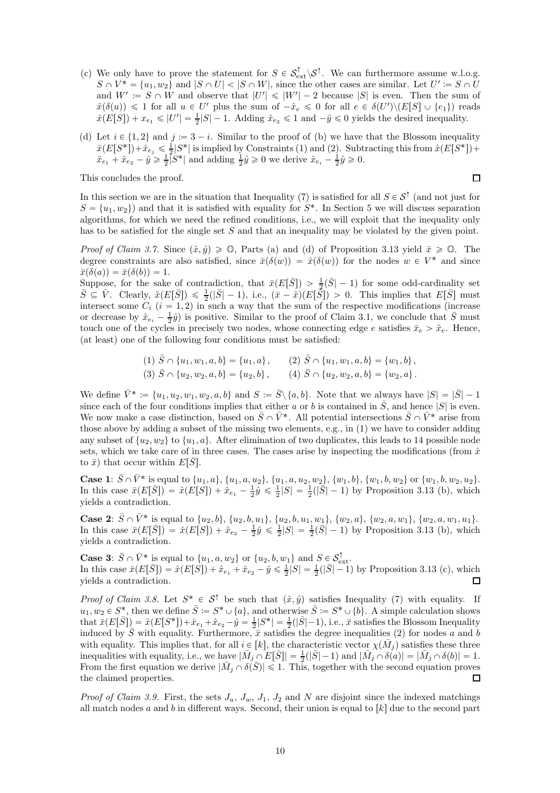- (c) We only have to prove the statement for  $S \in \mathcal{S}_{ext}^{\uparrow} \setminus \mathcal{S}^{\uparrow}$ . We can furthermore assume w.l.o.g.  $S \cap V^* = \{u_1, w_2\}$  and  $|S \cap U| < |S \cap W|$ , since the other cases are similar. Let  $U' \coloneqq S \cap U$ and  $W' := S \cap W$  and observe that  $|U'| \leq |W'| - 2$  because  $|S|$  is even. Then the sum of  $\hat{x}(\delta(u)) \leq 1$  for all  $u \in U'$  plus the sum of  $-\hat{x}_e \leq 0$  for all  $e \in \delta(U')\setminus (E[S] \cup \{e_1\})$  reads  $\hat{x}(E[S]) + x_{e_1} \le |U'| = \frac{1}{2}|S| - 1$ . Adding  $\hat{x}_{e_2} \le 1$  and  $-\hat{y} \le 0$  yields the desired inequality.
- (d) Let  $i \in \{1, 2\}$  and  $j := 3 i$ . Similar to the proof of [\(b\)](#page-8-5) we have that the Blossom inequality  $\hat{x}(E[S^*]) + \hat{x}_{e_j} \leq \frac{1}{2}|S^*|$  is implied by Constraints [\(1\)](#page-0-1) and [\(2\)](#page-0-0). Subtracting this from  $\hat{x}(E[S^*]) +$  $\hat{x}_{e_1} + \hat{x}_{e_2} - \hat{y} \ge \frac{1}{2} \overline{\left| S^* \right|}$  and adding  $\frac{1}{2} \hat{y} \ge 0$  we derive  $\hat{x}_{e_i} - \frac{1}{2} \hat{y} \ge 0$ .

This concludes the proof.

 $\Box$ 

In this section we are in the situation that Inequality [\(7\)](#page-2-2) is satisfied for all  $S \in \mathcal{S}^{\uparrow}$  (and not just for  $S = \{u_1, w_2\}$  and that it is satisfied with equality for  $S^*$ . In Section [5](#page-13-0) we will discuss separation algorithms, for which we need the refined conditions, i.e., we will exploit that the inequality only has to be satisfied for the single set S and that an inequality may be violated by the given point.

*Proof of Claim [3.7.](#page-7-2)* Since  $(\hat{x}, \hat{y}) \geq 0$ , Parts [\(a\)](#page-8-6) and (d) of Proposition [3.13](#page-8-4) yield  $\bar{x} \geq 0$ . The degree constraints are also satisfied, since  $\bar{x}(\delta(w)) = \hat{x}(\delta(w))$  for the nodes  $w \in V^*$  and since  $\bar{x}(\delta(a)) = \bar{x}(\delta(b)) = 1.$ 

Suppose, for the sake of contradiction, that  $\bar{x}(E[\bar{S}]) > \frac{1}{2}(\bar{S}|-1)$  for some odd-cardinality set  $\bar{S} \subseteq \bar{V}$ . Clearly,  $\tilde{x}(E[\bar{S}]) \leq \frac{1}{2}(|\bar{S}|-1)$ , i.e.,  $(\bar{x}-\tilde{x})(E[\tilde{S}]) > 0$ . This implies that  $E[\bar{S}]$  must intersect some  $C_i$   $(i = 1, 2)$  in such a way that the sum of the respective modifications (increase or decrease by  $\hat{x}_{e_i} - \frac{1}{2}\hat{y}$  is positive. Similar to the proof of Claim [3.1,](#page-5-2) we conclude that  $\bar{S}$  must touch one of the cycles in precisely two nodes, whose connecting edge e satisfies  $\bar{x}_e > \tilde{x}_e$ . Hence, (at least) one of the following four conditions must be satisfied:

$$
(1) \ \overline{S} \cap \{u_1, w_1, a, b\} = \{u_1, a\}, \qquad (2) \ \overline{S} \cap \{u_1, w_1, a, b\} = \{w_1, b\},(3) \ \overline{S} \cap \{u_2, w_2, a, b\} = \{u_2, b\}, \qquad (4) \ \overline{S} \cap \{u_2, w_2, a, b\} = \{w_2, a\}.
$$

We define  $\bar{V}^* := \{u_1, u_2, w_1, w_2, a, b\}$  and  $S := \bar{S} \setminus \{a, b\}$ . Note that we always have  $|S| = |\bar{S}| - 1$ since each of the four conditions implies that either a or b is contained in  $\overline{S}$ , and hence  $|S|$  is even. We now make a case distinction, based on  $\bar{S} \cap \bar{V}^*$ . All potential intersections  $\bar{S} \cap \bar{V}^*$  arise from those above by adding a subset of the missing two elements, e.g., in (1) we have to consider adding any subset of  $\{u_2, w_2\}$  to  $\{u_1, a\}$ . After elimination of two duplicates, this leads to 14 possible node sets, which we take care of in three cases. The cases arise by inspecting the modifications (from  $\hat{x}$ ) to  $\bar{x}$ ) that occur within  $E[\bar{S}]$ .

**Case 1:**  $\bar{S} \cap \bar{V}^*$  is equal to  $\{u_1, a\}$ ,  $\{u_1, a, u_2\}$ ,  $\{u_1, a, u_2, w_2\}$ ,  $\{w_1, b\}$ ,  $\{w_1, b, w_2\}$  or  $\{w_1, b, w_2, u_2\}$ . In this case  $\bar{x}(E[\bar{S}]) = \hat{x}(E[S]) + \hat{x}_{e_1} - \frac{1}{2}\hat{y} \leq \frac{1}{2}|S| = \frac{1}{2}(|\bar{S}|-1)$  by Proposition [3.13](#page-8-4) [\(b\)](#page-8-5), which yields a contradiction.

**Case 2:**  $\bar{S} \cap \bar{V}^*$  is equal to  $\{u_2, b\}$ ,  $\{u_2, b, u_1\}$ ,  $\{u_2, b, u_1, w_1\}$ ,  $\{w_2, a\}$ ,  $\{w_2, a, w_1\}$ ,  $\{w_2, a, w_1, u_1\}$ . In this case  $\bar{x}(E[\bar{S}]) = \hat{x}(E[S]) + \hat{x}_{e_2} - \frac{1}{2}\hat{y} \leq \frac{1}{2}|S| = \frac{1}{2}(\bar{S}|-1)$  by Proposition [3.13](#page-8-4) [\(b\)](#page-8-5), which yields a contradiction.

**Case 3:**  $\bar{S} \cap \bar{V}^*$  is equal to  $\{u_1, a, w_2\}$  or  $\{u_2, b, w_1\}$  and  $S \in \mathcal{S}_{ext}^{\uparrow}$ . In this case  $\bar{x}(E[\bar{S}]) = \hat{x}(E[S]) + \hat{x}_{e_1} + \hat{x}_{e_2} - \hat{y} \le \frac{1}{2}|S| = \frac{1}{2}(|\bar{S}|-1)$  by Proposition [3.13](#page-8-4) [\(c\)](#page-8-7), which yields a contradiction.  $\Box$ 

*Proof of Claim [3.8.](#page-8-8)* Let  $S^* \in S^{\uparrow}$  be such that  $(\hat{x}, \hat{y})$  satisfies Inequality [\(7\)](#page-2-2) with equality. If  $u_1, w_2 \in S^*$ , then we define  $\bar{S} := S^* \cup \{a\}$ , and otherwise  $\bar{S} := S^* \cup \{b\}$ . A simple calculation shows that  $\bar{x}(E[\bar{S}]) = \hat{x}(E[S^*]) + \hat{x}_{e_1} + \hat{x}_{e_2} - \hat{y} = \frac{1}{2}|S^*| = \frac{1}{2}(|\bar{S}|-1)$ , i.e.,  $\bar{x}$  satisfies the Blossom Inequality induced by  $\overline{S}$  with equality. Furthermore,  $\overline{x}$  satisfies the degree inequalities [\(2\)](#page-0-0) for nodes a and b with equality. This implies that, for all  $i \in [k]$ , the characteristic vector  $\chi(\bar{M}_j)$  satisfies these three inequalities with equality, i.e., we have  $|\bar{M}_j \cap E[\bar{S}]| = \frac{1}{2}(|\bar{S}|-1)$  and  $|\bar{M}_j \cap \delta(a)| = |\bar{M}_j \cap \delta(b)| = 1$ . From the first equation we derive  $|\bar{M}_j \cap \delta(\bar{S})| \leq 1$ . This, together with the second equation proves  $\Box$ the claimed properties.

*Proof of Claim [3.9.](#page-8-0)* First, the sets  $J_u$ ,  $J_w$ ,  $J_1$ ,  $J_2$  and N are disjoint since the indexed matchings all match nodes a and b in different ways. Second, their union is equal to  $[k]$  due to the second part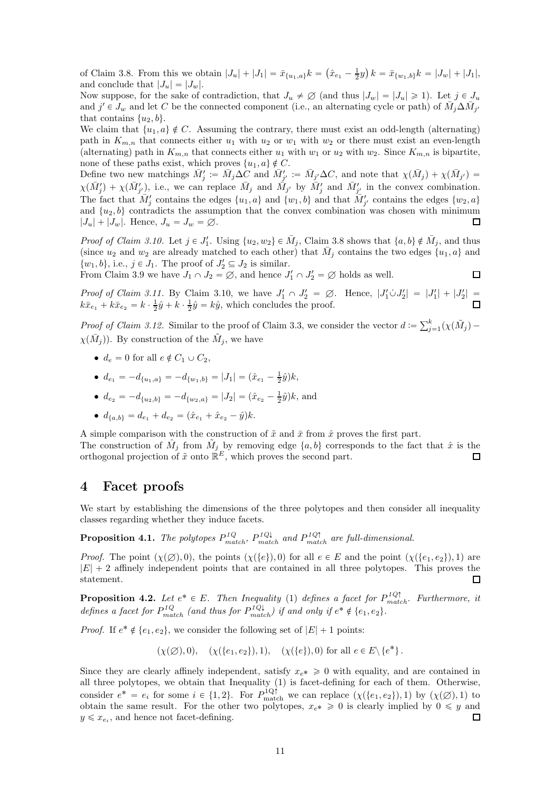of Claim [3.8.](#page-8-8) From this we obtain  $|J_u| + |J_1| = \bar{x}_{\{u_1, a\}} k = (\hat{x}_{e_1} - \frac{1}{2}y) k = \bar{x}_{\{w_1, b\}} k = |J_w| + |J_1|$ , and conclude that  $|J_u| = |J_w|$ .

Now suppose, for the sake of contradiction, that  $J_u \neq \emptyset$  (and thus  $|J_w| = |J_u| \geq 1$ ). Let  $j \in J_u$ and  $j' \in J_w$  and let C be the connected component (i.e., an alternating cycle or path) of  $\overline{M}_j \Delta \overline{M}_{j'}$ that contains  $\{u_2, b\}.$ 

We claim that  $\{u_1, a\} \notin C$ . Assuming the contrary, there must exist an odd-length (alternating) path in  $K_{m,n}$  that connects either  $u_1$  with  $u_2$  or  $w_1$  with  $w_2$  or there must exist an even-length (alternating) path in  $K_{m,n}$  that connects either  $u_1$  with  $w_1$  or  $u_2$  with  $w_2$ . Since  $K_{m,n}$  is bipartite, none of these paths exist, which proves  $\{u_1, a\} \notin C$ .

Define two new matchings  $\bar{M}'_j := \bar{M}_j \Delta C$  and  $\bar{M}'_{j'} := \bar{M}_{j'} \Delta C$ , and note that  $\chi(\bar{M}_j) + \chi(\bar{M}_{j'}) =$  $\chi(\bar{M}'_j) + \chi(\bar{M}'_{j'})$ , i.e., we can replace  $\bar{M}_j$  and  $\bar{M}_{j'}$  by  $\bar{M}'_j$  and  $\bar{M}'_{j'}$  in the convex combination. The fact that  $\overline{M}'_j$  contains the edges  $\{u_1, a\}$  and  $\{w_1, b\}$  and that  $\overline{M}'_{j'}$  contains the edges  $\{w_2, a\}$ and  $\{u_2, b\}$  contradicts the assumption that the convex combination was chosen with minimum  $|J_u| + |J_w|$ . Hence,  $J_u = J_w = \emptyset$ .  $\Box$ 

*Proof of Claim [3.10.](#page-8-3)* Let  $j \in J'_1$ . Using  $\{u_2, w_2\} \in \overline{M}_j$ , Claim [3.8](#page-8-8) shows that  $\{a, b\} \notin \overline{M}_j$ , and thus (since  $u_2$  and  $w_2$  are already matched to each other) that  $\overline{M}_j$  contains the two edges  $\{u_1, a\}$  and  $\{w_1, b\}$ , i.e.,  $j \in J_1$ . The proof of  $J'_2 \subseteq J_2$  is similar.

From Claim [3.9](#page-8-0) we have  $J_1 \cap J_2 = \emptyset$ , and hence  $J'_1 \cap J'_2 = \emptyset$  holds as well.  $\Box$ 

*Proof of Claim [3.11.](#page-8-1)* By Claim [3.10,](#page-8-3) we have  $J'_1 \cap J'_2 = \emptyset$ . Hence,  $|J'_1 \cup J'_2| = |J'_1| + |J'_2| =$  $k\bar{x}_{e_1} + k\bar{x}_{e_2} = k \cdot \frac{1}{2}\hat{y} + k \cdot \frac{1}{2}\hat{y} = k\hat{y}$ , which concludes the proof.

*Proof of Claim [3.12.](#page-8-2)* Similar to the proof of Claim [3.3,](#page-5-4) we consider the vector  $d := \sum_{j=1}^{k} (\chi(\tilde{M}_j) \chi(\bar{M}_j)$ ). By construction of the  $\tilde{M}_j$ , we have

- $d_e = 0$  for all  $e \notin C_1 \cup C_2$ ,
- $d_{e_1} = -d_{\{u_1, a\}} = -d_{\{w_1, b\}} = |J_1| = (\hat{x}_{e_1} \frac{1}{2}\hat{y})k,$
- $d_{e_2} = -d_{\{u_2, b\}} = -d_{\{w_2, a\}} = |J_2| = (\hat{x}_{e_2} \frac{1}{2}\hat{y})k$ , and
- $d_{\{a,b\}} = d_{e_1} + d_{e_2} = (\hat{x}_{e_1} + \hat{x}_{e_2} \hat{y})k.$

A simple comparison with the construction of  $\tilde{x}$  and  $\bar{x}$  from  $\hat{x}$  proves the first part. The construction of  $\hat{M}_j$  from  $\tilde{M}_j$  by removing edge  $\{a, b\}$  corresponds to the fact that  $\hat{x}$  is the orthogonal projection of  $\tilde{x}$  onto  $\mathbb{R}^E$ , which proves the second part. 口

## <span id="page-10-0"></span>4 Facet proofs

We start by establishing the dimensions of the three polytopes and then consider all inequality classes regarding whether they induce facets.

**Proposition 4.1.** The polytopes  $P_{match}^{1Q}$ ,  $P_{match}^{1Q\downarrow}$  and  $P_{match}^{1Q\uparrow}$  are full-dimensional.

*Proof.* The point  $(\chi(\emptyset), 0)$ , the points  $(\chi({e}), 0)$  for all  $e \in E$  and the point  $(\chi({e}_1, e_2), 1)$  are  $|E| + 2$  affinely independent points that are contained in all three polytopes. This proves the statement.  $\Box$ 

**Proposition 4.2.** Let  $e^* \in E$ . Then Inequality [\(1\)](#page-0-1) defines a facet for  $P_{match}^{1Q\uparrow}$ . Furthermore, it defines a facet for  $P_{match}^{1Q}$  (and thus for  $P_{match}^{1Q\downarrow}$ ) if and only if  $e^* \notin \{e_1, e_2\}$ .

*Proof.* If  $e^* \notin \{e_1, e_2\}$ , we consider the following set of  $|E| + 1$  points:

$$
(\chi(\emptyset),0), \quad (\chi({e_1,e_2}),1), \quad (\chi({e}),0)
$$
 for all  $e \in E \setminus {e^*}$ .

Since they are clearly affinely independent, satisfy  $x_{e^*} \geq 0$  with equality, and are contained in all three polytopes, we obtain that Inequality [\(1\)](#page-0-1) is facet-defining for each of them. Otherwise, consider  $e^* = e_i$  for some  $i \in \{1, 2\}$ . For  $P_{\text{match}}^{1Q\uparrow}$  we can replace  $(\chi(\{e_1, e_2\}), 1)$  by  $(\chi(\emptyset), 1)$  to obtain the same result. For the other two polytopes,  $x_{e^*} \ge 0$  is clearly implied by  $0 \le y$  and  $y \leq x_{e_i}$ , and hence not facet-defining.  $\Box$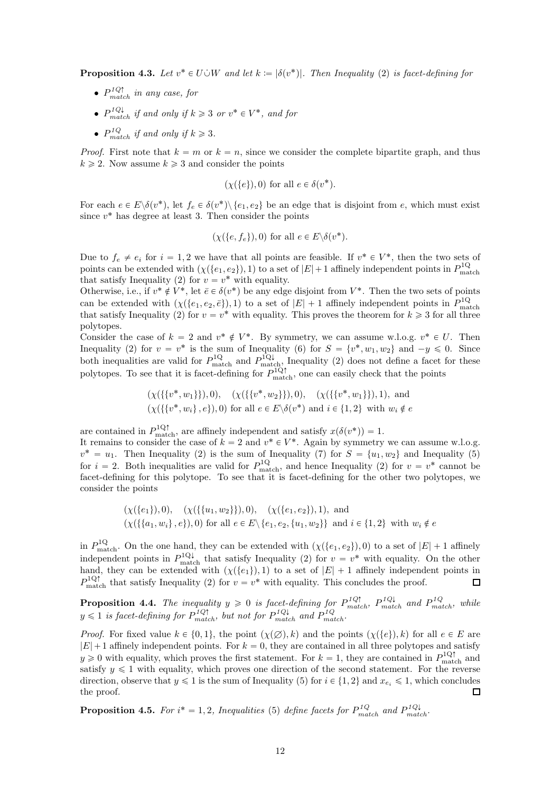**Proposition 4.3.** Let  $v^* \in U \cup W$  and let  $k := |\delta(v^*)|$ . Then Inequality [\(2\)](#page-0-0) is facet-defining for

- $P_{match}^{1Q\uparrow}$  in any case, for
- $P_{match}^{1Q\downarrow}$  if and only if  $k \geqslant 3$  or  $v^* \in V^*$ , and for
- $P_{match}^{1Q}$  if and only if  $k \geq 3$ .

*Proof.* First note that  $k = m$  or  $k = n$ , since we consider the complete bipartite graph, and thus  $k \geq 2$ . Now assume  $k \geq 3$  and consider the points

$$
(\chi({e}), 0)
$$
 for all  $e \in \delta(v^*).$ 

For each  $e \in E \setminus \delta(v^*)$ , let  $f_e \in \delta(v^*) \setminus \{e_1, e_2\}$  be an edge that is disjoint from e, which must exist since  $v^*$  has degree at least 3. Then consider the points

$$
(\chi({e, f_e}), 0)
$$
 for all  $e \in E \setminus \delta(v^*).$ 

Due to  $f_e \neq e_i$  for  $i = 1, 2$  we have that all points are feasible. If  $v^* \in V^*$ , then the two sets of points can be extended with  $(\chi({e_1, e_2}), 1)$  to a set of  $|E|+1$  affinely independent points in  $P_{\text{match}}^{1Q}$ that satisfy Inequality [\(2\)](#page-0-0) for  $v = v^*$  with equality.

Otherwise, i.e., if  $v^* \notin V^*$ , let  $\bar{e} \in \delta(v^*)$  be any edge disjoint from  $V^*$ . Then the two sets of points can be extended with  $(\chi(\{e_1, e_2, \bar{e}\}), 1)$  to a set of  $|E| + 1$  affinely independent points in  $P_{\text{match}}^{1Q}$ that satisfy Inequality [\(2\)](#page-0-0) for  $v = v^*$  with equality. This proves the theorem for  $k \geq 3$  for all three polytopes.

Consider the case of  $k = 2$  and  $v^* \notin V^*$ . By symmetry, we can assume w.l.o.g.  $v^* \in U$ . Then Inequality [\(2\)](#page-0-0) for  $v = v^*$  is the sum of Inequality [\(6\)](#page-2-1) for  $S = \{v^*, w_1, w_2\}$  and  $-y \le 0$ . Since both inequalities are valid for  $P_{\text{match}}^{\text{1Q}}$  and  $P_{\text{match}}^{\text{1Q}\downarrow}$ , Inequality [\(2\)](#page-0-0) does not define a facet for these polytopes. To see that it is facet-defining for  $P_{\text{match}}^{1Q\uparrow}$ , one can easily check that the points

$$
(\chi(\{\{v^*, w_1\}\}), 0), \quad (\chi(\{\{v^*, w_2\}\}), 0), \quad (\chi(\{\{v^*, w_1\}\}), 1), \text{ and } (\chi(\{\{v^*, w_i\}, e\}), 0) \text{ for all } e \in E \setminus \delta(v^*) \text{ and } i \in \{1, 2\} \text{ with } w_i \notin e
$$

are contained in  $P_{\text{match}}^{1Q\dagger}$ , are affinely independent and satisfy  $x(\delta(v^*))=1$ .

It remains to consider the case of  $k = 2$  and  $v^* \in V^*$ . Again by symmetry we can assume w.l.o.g.  $v^* = u_1$ . Then Inequality [\(2\)](#page-0-0) is the sum of Inequality [\(7\)](#page-2-2) for  $S = \{u_1, w_2\}$  and Inequality [\(5\)](#page-1-1) for  $i = 2$ . Both inequalities are valid for  $P_{\text{match}}^{1Q}$ , and hence Inequality [\(2\)](#page-0-0) for  $v = v^*$  cannot be facet-defining for this polytope. To see that it is facet-defining for the other two polytopes, we consider the points

$$
(\chi({e_1}), 0), \quad (\chi({\{u_1, w_2\}}), 0), \quad (\chi({e_1, e_2}), 1), \text{ and}
$$
  

$$
(\chi({\{a_1, w_i\}}, e), 0) \text{ for all } e \in E \setminus {e_1, e_2, \{u_1, w_2\}} \text{ and } i \in \{1, 2\} \text{ with } w_i \notin e
$$

in  $P_{\text{match}}^{1Q}$ . On the one hand, they can be extended with  $(\chi({e_1, e_2}), 0)$  to a set of  $|E| + 1$  affinely independent points in  $P_{\text{match}}^{1Q\downarrow}$  that satisfy Inequality [\(2\)](#page-0-0) for  $v = v^*$  with equality. On the other hand, they can be extended with  $(\chi({e_1}), 1)$  to a set of  $|E| + 1$  affinely independent points in  $P_{\text{match}}^{1Q\uparrow}$  that satisfy Inequality [\(2\)](#page-0-0) for  $v = v^*$  with equality. This concludes the proof.  $\Box$ 

<span id="page-11-0"></span>**Proposition 4.4.** The inequality  $y \ge 0$  is facet-defining for  $P_{match}^{1Q\dagger}$ ,  $P_{match}^{1Q\dagger}$  and  $P_{match}^{1Q}$ , while  $y \leq 1$  is facet-defining for  $P_{match}^{1Q\dagger}$ , but not for  $P_{match}^{1Q\dagger}$  and  $P_{match}^{1Q\dagger}$ .

*Proof.* For fixed value  $k \in \{0, 1\}$ , the point  $(\chi(\emptyset), k)$  and the points  $(\chi({e}), k)$  for all  $e \in E$  are  $|E|+1$  affinely independent points. For  $k = 0$ , they are contained in all three polytopes and satisfy  $y \ge 0$  with equality, which proves the first statement. For  $k = 1$ , they are contained in  $P_{\text{match}}^{1 \text{Q} \uparrow}$  and satisfy  $y \leq 1$  with equality, which proves one direction of the second statement. For the reverse direction, observe that  $y \leq 1$  is the sum of Inequality [\(5\)](#page-1-1) for  $i \in \{1, 2\}$  and  $x_{e_i} \leq 1$ , which concludes the proof. □

**Proposition 4.5.** For  $i^* = 1, 2$ , Inequalities [\(5\)](#page-1-1) define facets for  $P_{match}^{1Q}$  and  $P_{match}^{1Q}$ .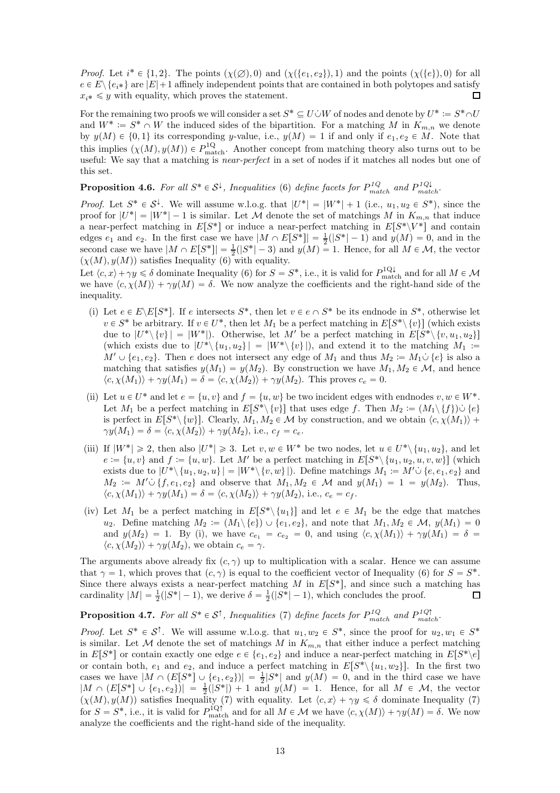*Proof.* Let  $i^* \in \{1, 2\}$ . The points  $(\chi(\emptyset), 0)$  and  $(\chi(\{e_1, e_2\}), 1)$  and the points  $(\chi(\{e\}), 0)$  for all  $e \in E \setminus \{e_{i*}\}\$ are  $|E|+1$  affinely independent points that are contained in both polytopes and satisfy  $x_i^* \leq y$  with equality, which proves the statement. П

For the remaining two proofs we will consider a set  $S^* \subseteq U \cup W$  of nodes and denote by  $U^* := S^* \cap U$ and  $W^* := S^* \cap W$  the induced sides of the bipartition. For a matching M in  $K_{m,n}$  we denote by  $y(M) \in \{0, 1\}$  its corresponding y-value, i.e.,  $y(M) = 1$  if and only if  $e_1, e_2 \in M$ . Note that this implies  $(\chi(M), y(M)) \in P_{\text{match}}^{1Q}$ . Another concept from matching theory also turns out to be useful: We say that a matching is *near-perfect* in a set of nodes if it matches all nodes but one of this set.

**Proposition 4.6.** For all  $S^* \in S^{\downarrow}$ , Inequalities [\(6\)](#page-2-1) define facets for  $P_{match}^{1Q}$  and  $P_{match}^{1Q\downarrow}$ .

*Proof.* Let  $S^* \in S^{\downarrow}$ . We will assume w.l.o.g. that  $|U^*| = |W^*| + 1$  (i.e.,  $u_1, u_2 \in S^*$ ), since the proof for  $|U^*| = |W^*| - 1$  is similar. Let M denote the set of matchings M in  $K_{m,n}$  that induce a near-perfect matching in  $E[S^*]$  or induce a near-perfect matching in  $E[S^* \setminus V^*]$  and contain edges  $e_1$  and  $e_2$ . In the first case we have  $|M \cap E[S^*]| = \frac{1}{2}(|S^*|-1)$  and  $y(M) = 0$ , and in the second case we have  $|M \cap E[S^*]| = \frac{1}{2}(|S^*| - 3)$  and  $y(M) = 1$ . Hence, for all  $M \in \mathcal{M}$ , the vector  $(\chi(M), y(M))$  satisfies Inequality [\(6\)](#page-2-1) with equality.

Let  $\langle c, x \rangle + \gamma y \le \delta$  dominate Inequality [\(6\)](#page-2-1) for  $S = S^*$ , i.e., it is valid for  $P_{\text{match}}^{1 \text{Q} \downarrow}$  and for all  $M \in \mathcal{M}$ we have  $\langle c, \chi(M) \rangle + \gamma y(M) = \delta$ . We now analyze the coefficients and the right-hand side of the inequality.

- (i) Let  $e \in E\backslash E[S^*]$ . If e intersects  $S^*$ , then let  $v \in e \cap S^*$  be its endnode in  $S^*$ , otherwise let  $v \in S^*$  be arbitrary. If  $v \in U^*$ , then let  $M_1$  be a perfect matching in  $E[S^* \setminus \{v\}]$  (which exists due to  $|U^*\setminus \{v\}| = |W^*|$ . Otherwise, let M' be a perfect matching in  $E[S^*\setminus \{v, u_1, u_2\}]$ (which exists due to  $|U^*\rangle \{u_1, u_2\}| = |W^*\rangle \{v\}|$ ), and extend it to the matching  $M_1 \coloneqq$  $M' \cup \{e_1, e_2\}$ . Then e does not intersect any edge of  $M_1$  and thus  $M_2 := M_1 \cup \{e\}$  is also a matching that satisfies  $y(M_1) = y(M_2)$ . By construction we have  $M_1, M_2 \in \mathcal{M}$ , and hence  $\langle c, \chi(M_1) \rangle + \gamma y(M_1) = \delta = \langle c, \chi(M_2) \rangle + \gamma y(M_2)$ . This proves  $c_e = 0$ .
- (ii) Let  $u \in U^*$  and let  $e = \{u, v\}$  and  $f = \{u, w\}$  be two incident edges with endnodes  $v, w \in W^*$ . Let  $M_1$  be a perfect matching in  $E[S^*\setminus \{v\}]$  that uses edge f. Then  $M_2 := (M_1 \setminus \{f\}) \cup \{e\}$ is perfect in  $E[S^*\setminus \{w\}]$ . Clearly,  $M_1, M_2 \in \mathcal{M}$  by construction, and we obtain  $\langle c, \chi(M_1) \rangle$  +  $\gamma y(M_1) = \delta = \langle c, \chi(M_2) \rangle + \gamma y(M_2),$  i.e.,  $c_f = c_e$ .
- (iii) If  $|W^*| \geq 2$ , then also  $|U^*| \geq 3$ . Let  $v, w \in W^*$  be two nodes, let  $u \in U^* \setminus \{u_1, u_2\}$ , and let  $e := \{u, v\}$  and  $f := \{u, w\}$ . Let M' be a perfect matching in  $E[S^* \setminus \{u_1, u_2, u, v, w\}]$  (which exists due to  $|U^*\setminus \{u_1, u_2, u\}| = |W^*\setminus \{v, w\}|$ . Define matchings  $M_1 := M' \cup \{e, e_1, e_2\}$  and  $M_2 := M' \cup \{f, e_1, e_2\}$  and observe that  $M_1, M_2 \in \mathcal{M}$  and  $y(M_1) = 1 = y(M_2)$ . Thus,  $\langle c, \chi(M_1) \rangle + \gamma y(M_1) = \delta = \langle c, \chi(M_2) \rangle + \gamma y(M_2),$  i.e.,  $c_e = c_f$ .
- (iv) Let  $M_1$  be a perfect matching in  $E[S^* \setminus \{u_1\}]$  and let  $e \in M_1$  be the edge that matches  $u_2$ . Define matching  $M_2 := (M_1 \setminus \{e\}) \cup \{e_1, e_2\}$ , and note that  $M_1, M_2 \in \mathcal{M}$ ,  $y(M_1) = 0$ and  $y(M_2) = 1$ . By (i), we have  $c_{e_1} = c_{e_2} = 0$ , and using  $\langle c, \chi(M_1) \rangle + \gamma y(M_1) = \delta$  $\langle c, \chi(M_2) \rangle + \gamma y(M_2)$ , we obtain  $c_e = \gamma$ .

The arguments above already fix  $(c, \gamma)$  up to multiplication with a scalar. Hence we can assume that  $\gamma = 1$ , which proves that  $(c, \gamma)$  is equal to the coefficient vector of Inequality [\(6\)](#page-2-1) for  $S = S^*$ . Since there always exists a near-perfect matching M in  $E[S^*]$ , and since such a matching has cardinality  $|M| = \frac{1}{2}(|S^*|-1)$ , we derive  $\delta = \frac{1}{2}(|S^*|-1)$ , which concludes the proof.  $\Box$ 

**Proposition 4.7.** For all  $S^* \in S^{\uparrow}$ , Inequalities [\(7\)](#page-2-2) define facets for  $P_{match}^{1Q}$  and  $P_{match}^{1Q\dagger}$ .

*Proof.* Let  $S^* \in S^{\uparrow}$ . We will assume w.l.o.g. that  $u_1, w_2 \in S^*$ , since the proof for  $u_2, w_1 \in S^*$ is similar. Let M denote the set of matchings M in  $K_{m,n}$  that either induce a perfect matching in  $E[S^*]$  or contain exactly one edge  $e \in \{e_1, e_2\}$  and induce a near-perfect matching in  $E[S^* \backslash e]$ or contain both,  $e_1$  and  $e_2$ , and induce a perfect matching in  $E[S^* \setminus \{u_1, w_2\}]$ . In the first two cases we have  $|M \cap (E[S^*] \cup \{e_1, e_2\})| = \frac{1}{2}|S^*|$  and  $y(M) = 0$ , and in the third case we have  $|M \cap (E[S^*]) \cup \{e_1, e_2\}\rangle| = \frac{1}{2}(|S^*|) + 1$  and  $y(M) = 1$ . Hence, for all  $M \in \mathcal{M}$ , the vector  $(\chi(M), y(M))$  satisfies Inequality [\(7\)](#page-2-2) with equality. Let  $\langle c, x \rangle + \gamma y \leq \delta$  dominate Inequality (7) for  $S = S^*$ , i.e., it is valid for  $P_{\text{match}}^{1Q\uparrow}$  and for all  $M \in \mathcal{M}$  we have  $\langle c, \chi(M) \rangle + \gamma y(M) = \delta$ . We now analyze the coefficients and the right-hand side of the inequality.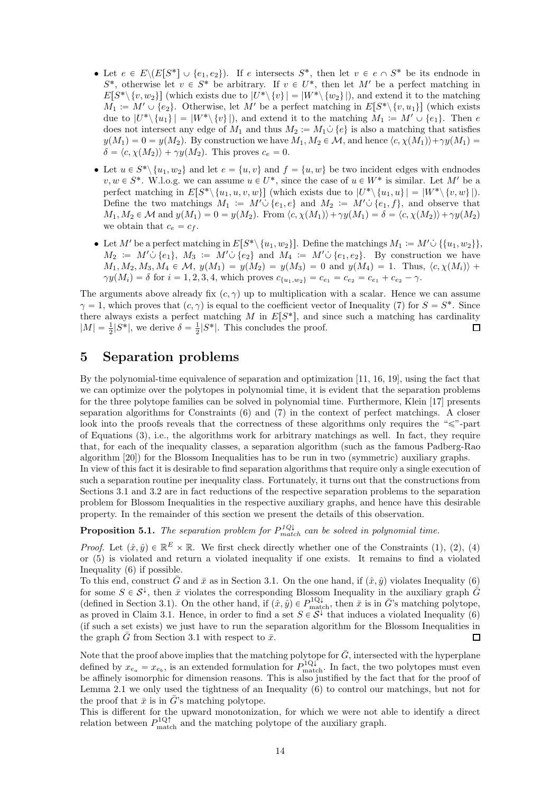- Let  $e \in E \setminus (E[S^*] \cup \{e_1, e_2\})$ . If e intersects  $S^*$ , then let  $v \in e \cap S^*$  be its endnode in  $S^*$ , otherwise let  $v \in S^*$  be arbitrary. If  $v \in U^*$ , then let M' be a perfect matching in  $E[S^* \setminus \{v, w_2\}]$  (which exists due to  $|U^* \setminus \{v\}| = |W^* \setminus \{w_2\}|$ ), and extend it to the matching  $M_1 := M' \cup \{e_2\}.$  Otherwise, let M' be a perfect matching in  $E[S^* \setminus \{v, u_1\}]$  (which exists due to  $|U^*\setminus \{u_1\}| = |W^*\setminus \{v\}|$ , and extend it to the matching  $M_1 \coloneqq M' \cup \{e_1\}$ . Then e does not intersect any edge of  $M_1$  and thus  $M_2 := M_1 \cup \{e\}$  is also a matching that satisfies  $y(M_1) = 0 = y(M_2)$ . By construction we have  $M_1, M_2 \in \mathcal{M}$ , and hence  $\langle c, \chi(M_1) \rangle + \gamma y(M_1) = 0$  $\delta = \langle c, \chi(M_2) \rangle + \gamma y(M_2)$ . This proves  $c_e = 0$ .
- Let  $u \in S^* \setminus \{u_1, w_2\}$  and let  $e = \{u, v\}$  and  $f = \{u, w\}$  be two incident edges with endnodes  $v, w \in S^*$ . W.l.o.g. we can assume  $u \in U^*$ , since the case of  $u \in W^*$  is similar. Let M' be a perfect matching in  $E[S^*\setminus \{u_1, u, v, w\}]$  (which exists due to  $|U^*\setminus \{u_1, u\}| = |W^*\setminus \{v, w\}|$ ). Define the two matchings  $M_1 := M' \cup \{e_1, e\}$  and  $M_2 := M' \cup \{e_1, f\}$ , and observe that  $M_1, M_2 \in \mathcal{M}$  and  $y(M_1) = 0 = y(M_2)$ . From  $\langle c, \chi(M_1) \rangle + \gamma y(M_1) = \delta = \langle c, \chi(M_2) \rangle + \gamma y(M_2)$ we obtain that  $c_e = c_f$ .
- Let M' be a perfect matching in  $E[S^*\setminus \{u_1, w_2\}]$ . Define the matchings  $M_1 := M' \cup \{\{u_1, w_2\}\}\$ ,  $M_2 := M' \cup \{e_1\}, M_3 := M' \cup \{e_2\}$  and  $M_4 := M' \cup \{e_1, e_2\}.$  By construction we have  $M_1, M_2, M_3, M_4 \in \mathcal{M}$ ,  $y(M_1) = y(M_2) = y(M_3) = 0$  and  $y(M_4) = 1$ . Thus,  $\langle c, \chi(M_i) \rangle +$  $\gamma y(M_i) = \delta$  for  $i = 1, 2, 3, 4$ , which proves  $c_{\{u_1, w_2\}} = c_{e_1} = c_{e_2} = c_{e_1} + c_{e_2} - \gamma$ .

The arguments above already fix  $(c, \gamma)$  up to multiplication with a scalar. Hence we can assume  $\gamma = 1$ , which proves that  $(c, \gamma)$  is equal to the coefficient vector of Inequality [\(7\)](#page-2-2) for  $S = S^*$ . Since there always exists a perfect matching M in  $E[S^*]$ , and since such a matching has cardinality  $|M| = \frac{1}{2}|S^*|$ , we derive  $\delta = \frac{1}{2}|S^*|$ . This concludes the proof.  $\Box$ 

# <span id="page-13-0"></span>5 Separation problems

By the polynomial-time equivalence of separation and optimization [\[11,](#page-26-9) [16,](#page-26-10) [19\]](#page-26-11), using the fact that we can optimize over the polytopes in polynomial time, it is evident that the separation problems for the three polytope families can be solved in polynomial time. Furthermore, Klein [\[17\]](#page-26-14) presents separation algorithms for Constraints [\(6\)](#page-2-1) and [\(7\)](#page-2-2) in the context of perfect matchings. A closer look into the proofs reveals that the correctness of these algorithms only requires the " $\leq$ "-part of Equations [\(3\)](#page-0-2), i.e., the algorithms work for arbitrary matchings as well. In fact, they require that, for each of the inequality classes, a separation algorithm (such as the famous Padberg-Rao algorithm [\[20\]](#page-26-16)) for the Blossom Inequalities has to be run in two (symmetric) auxiliary graphs. In view of this fact it is desirable to find separation algorithms that require only a single execution of such a separation routine per inequality class. Fortunately, it turns out that the constructions from Sections [3.1](#page-5-0) and [3.2](#page-7-0) are in fact reductions of the respective separation problems to the separation

property. In the remainder of this section we present the details of this observation.

**Proposition 5.1.** The separation problem for  $P_{match}^{1Q\downarrow}$  can be solved in polynomial time.

*Proof.* Let  $(\hat{x}, \hat{y}) \in \mathbb{R}^E \times \mathbb{R}$ . We first check directly whether one of the Constraints [\(1\)](#page-0-1), [\(2\)](#page-0-0), [\(4\)](#page-1-0) or [\(5\)](#page-1-1) is violated and return a violated inequality if one exists. It remains to find a violated Inequality [\(6\)](#page-2-1) if possible.

problem for Blossom Inequalities in the respective auxiliary graphs, and hence have this desirable

To this end, construct  $\bar{G}$  and  $\bar{x}$  as in Section [3.1.](#page-5-0) On the one hand, if  $(\hat{x}, \hat{y})$  violates Inequality [\(6\)](#page-2-1) for some  $S \in \mathcal{S}^{\downarrow}$ , then  $\bar{x}$  violates the corresponding Blossom Inequality in the auxiliary graph  $\tilde{G}$ (defined in Section [3.1\)](#page-5-0). On the other hand, if  $(\hat{x}, \hat{y}) \in P_{\text{match}}^{1Q\downarrow}$ , then  $\bar{x}$  is in  $\bar{G}$ 's matching polytope, as proved in Claim [3.1.](#page-5-2) Hence, in order to find a set  $S \in \mathcal{S}^{\downarrow}$  that induces a violated Inequality [\(6\)](#page-2-1) (if such a set exists) we just have to run the separation algorithm for the Blossom Inequalities in the graph  $\bar{G}$  from Section [3.1](#page-5-0) with respect to  $\bar{x}$ .  $\Box$ 

Note that the proof above implies that the matching polytope for  $\bar{G}$ , intersected with the hyperplane defined by  $x_{e_a} = x_{e_b}$ , is an extended formulation for  $P_{\text{match}}^{1Q\downarrow}$ . In fact, the two polytopes must even be affinely isomorphic for dimension reasons. This is also justified by the fact that for the proof of Lemma [2.1](#page-2-4) we only used the tightness of an Inequality [\(6\)](#page-2-1) to control our matchings, but not for the proof that  $\bar{x}$  is in  $\bar{G}$ 's matching polytope.

This is different for the upward monotonization, for which we were not able to identify a direct relation between  $P_{\text{match}}^{1Q\uparrow}$  and the matching polytope of the auxiliary graph.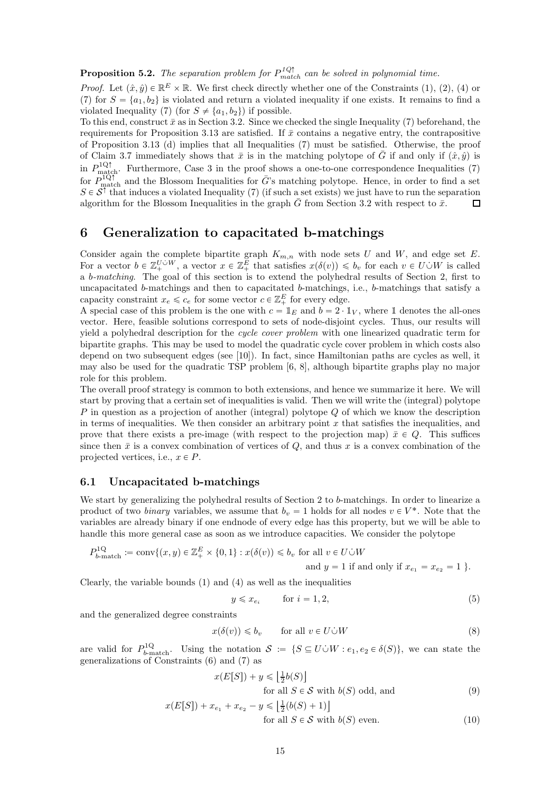**Proposition 5.2.** The separation problem for  $P_{match}^{1Q\uparrow}$  can be solved in polynomial time.

*Proof.* Let  $(\hat{x}, \hat{y}) \in \mathbb{R}^E \times \mathbb{R}$ . We first check directly whether one of the Constraints [\(1\)](#page-0-1), [\(2\)](#page-0-0), [\(4\)](#page-1-0) or [\(7\)](#page-2-2) for  $S = \{a_1, b_2\}$  is violated and return a violated inequality if one exists. It remains to find a violated Inequality [\(7\)](#page-2-2) (for  $S \neq \{a_1, b_2\}$ ) if possible.

To this end, construct  $\bar{x}$  as in Section [3.2.](#page-7-0) Since we checked the single Inequality [\(7\)](#page-2-2) beforehand, the requirements for Proposition [3.13](#page-8-4) are satisfied. If  $\bar{x}$  contains a negative entry, the contrapositive of Proposition [3.13](#page-8-4) (d) implies that all Inequalities [\(7\)](#page-2-2) must be satisfied. Otherwise, the proof of Claim [3.7](#page-7-2) immediately shows that  $\bar{x}$  is in the matching polytope of  $\bar{G}$  if and only if  $(\hat{x}, \hat{y})$  is in  $P_{\text{match}}^{1Q\uparrow}$ . Furthermore, Case 3 in the proof shows a one-to-one correspondence Inequalities [\(7\)](#page-2-2) for  $P_{\text{match}}^{1Q\uparrow}$  and the Blossom Inequalities for  $\bar{G}$ 's matching polytope. Hence, in order to find a set  $S \in \mathcal{S}^{\uparrow}$  that induces a violated Inequality [\(7\)](#page-2-2) (if such a set exists) we just have to run the separation algorithm for the Blossom Inequalities in the graph  $\bar{G}$  from Section [3.2](#page-7-0) with respect to  $\bar{x}$ .  $\Box$ 

## <span id="page-14-0"></span>6 Generalization to capacitated b-matchings

Consider again the complete bipartite graph  $K_{m,n}$  with node sets U and W, and edge set E. For a vector  $b \in \mathbb{Z}_+^{U \cup W}$ , a vector  $x \in \mathbb{Z}_+^E$  that satisfies  $x(\delta(v)) \leq b_v$  for each  $v \in U \cup W$  is called a b-matching. The goal of this section is to extend the polyhedral results of Section [2,](#page-2-3) first to uncapacitated b-matchings and then to capacitated b-matchings, i.e., b-matchings that satisfy a capacity constraint  $x_e \leq c_e$  for some vector  $c \in \mathbb{Z}_+^E$  for every edge.

A special case of this problem is the one with  $c = 1_E$  and  $b = 2 \cdot 1_V$ , where 1 denotes the all-ones vector. Here, feasible solutions correspond to sets of node-disjoint cycles. Thus, our results will yield a polyhedral description for the cycle cover problem with one linearized quadratic term for bipartite graphs. This may be used to model the quadratic cycle cover problem in which costs also depend on two subsequent edges (see [\[10\]](#page-26-17)). In fact, since Hamiltonian paths are cycles as well, it may also be used for the quadratic TSP problem [\[6,](#page-25-5) [8\]](#page-26-18), although bipartite graphs play no major role for this problem.

The overall proof strategy is common to both extensions, and hence we summarize it here. We will start by proving that a certain set of inequalities is valid. Then we will write the (integral) polytope P in question as a projection of another (integral) polytope  $Q$  of which we know the description in terms of inequalities. We then consider an arbitrary point  $x$  that satisfies the inequalities, and prove that there exists a pre-image (with respect to the projection map)  $\bar{x} \in Q$ . This suffices since then  $\bar{x}$  is a convex combination of vertices of Q, and thus x is a convex combination of the projected vertices, i.e.,  $x \in P$ .

## 6.1 Uncapacitated b-matchings

We start by generalizing the polyhedral results of Section [2](#page-2-3) to b-matchings. In order to linearize a product of two *binary* variables, we assume that  $b_v = 1$  holds for all nodes  $v \in V^*$ . Note that the variables are already binary if one endnode of every edge has this property, but we will be able to handle this more general case as soon as we introduce capacities. We consider the polytope

$$
P_{b\text{-match}}^{1Q} := \text{conv}\{(x, y) \in \mathbb{Z}_{+}^{E} \times \{0, 1\} : x(\delta(v)) \leq b_v \text{ for all } v \in U \dot{\cup} W
$$
  
and  $y = 1$  if and only if  $x_{e_1} = x_{e_2} = 1$  }.

Clearly, the variable bounds  $(1)$  and  $(4)$  as well as the inequalities

<span id="page-14-3"></span><span id="page-14-2"></span><span id="page-14-1"></span>
$$
y \leq x_{e_i} \qquad \text{for } i = 1, 2,
$$
\n<sup>(5)</sup>

and the generalized degree constraints

$$
x(\delta(v)) \leq b_v \qquad \text{for all } v \in U \dot{\cup} W \tag{8}
$$

are valid for  $P_{b\text{-match}}^{1Q}$ . Using the notation  $S := \{S \subseteq U \cup W : e_1, e_2 \in \delta(S)\}\)$ , we can state the generalizations of Constraints [\(6\)](#page-2-1) and [\(7\)](#page-2-2) as

$$
x(E[S]) + y \le \left\lfloor \frac{1}{2}b(S) \right\rfloor
$$
  
for all  $S \in \mathcal{S}$  with  $b(S)$  odd, and (9)

$$
x(E[S]) + x_{e_1} + x_{e_2} - y \le \left[\frac{1}{2}(b(S) + 1)\right]
$$
  
for all  $S \in \mathcal{S}$  with  $b(S)$  even. (10)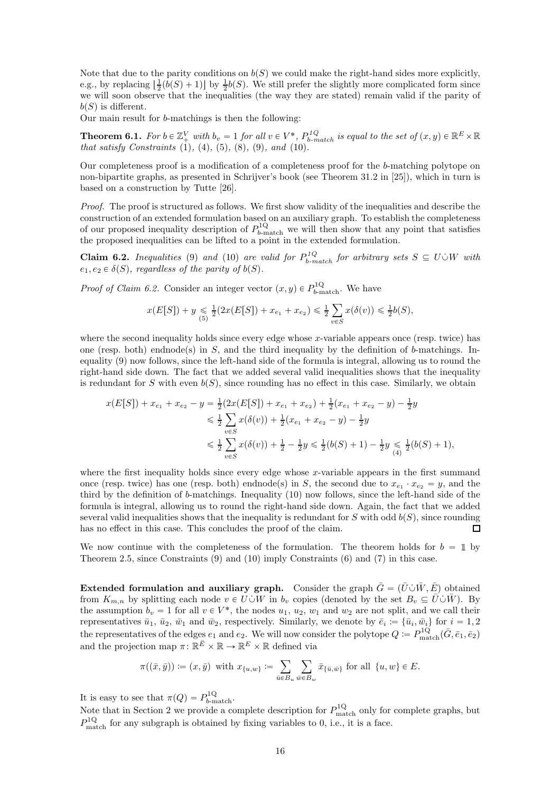Note that due to the parity conditions on  $b(S)$  we could make the right-hand sides more explicitly, e.g., by replacing  $\left[\frac{1}{2}(b(S) + 1)\right]$  by  $\frac{1}{2}b(S)$ . We still prefer the slightly more complicated form since we will soon observe that the inequalities (the way they are stated) remain valid if the parity of  $b(S)$  is different.

Our main result for b-matchings is then the following:

<span id="page-15-1"></span>**Theorem 6.1.** For  $b \in \mathbb{Z}_+^V$  with  $b_v = 1$  for all  $v \in V^*$ ,  $P_{b-match}^{1Q}$  is equal to the set of  $(x, y) \in \mathbb{R}^E \times \mathbb{R}$ that satisfy Constraints  $(1)$ ,  $(4)$ ,  $(5)$ ,  $(8)$ ,  $(9)$ , and  $(10)$ .

Our completeness proof is a modification of a completeness proof for the b-matching polytope on non-bipartite graphs, as presented in Schrijver's book (see Theorem 31.2 in [\[25\]](#page-26-1)), which in turn is based on a construction by Tutte [\[26\]](#page-26-19).

Proof. The proof is structured as follows. We first show validity of the inequalities and describe the construction of an extended formulation based on an auxiliary graph. To establish the completeness of our proposed inequality description of  $P_{b\text{-match}}^{1Q}$  we will then show that any point that satisfies the proposed inequalities can be lifted to a point in the extended formulation.

<span id="page-15-0"></span>**Claim 6.2.** Inequalities [\(9\)](#page-14-2) and [\(10\)](#page-14-3) are valid for  $P_{b-match}^{1Q}$  for arbitrary sets  $S \subseteq U \cup W$  with  $e_1, e_2 \in \delta(S)$ , regardless of the parity of  $b(S)$ .

*Proof of Claim [6.2.](#page-15-0)* Consider an integer vector  $(x, y) \in P_{b-\text{match}}^{1Q}$ . We have

$$
x(E[S]) + y \leq \frac{1}{2}(2x(E[S]) + x_{e_1} + x_{e_2}) \leq \frac{1}{2} \sum_{v \in S} x(\delta(v)) \leq \frac{1}{2}b(S),
$$

where the second inequality holds since every edge whose x-variable appears once (resp. twice) has one (resp. both) endnode(s) in S, and the third inequality by the definition of b-matchings. Inequality [\(9\)](#page-14-2) now follows, since the left-hand side of the formula is integral, allowing us to round the right-hand side down. The fact that we added several valid inequalities shows that the inequality is redundant for S with even  $b(S)$ , since rounding has no effect in this case. Similarly, we obtain

$$
x(E[S]) + x_{e_1} + x_{e_2} - y = \frac{1}{2}(2x(E[S]) + x_{e_1} + x_{e_2}) + \frac{1}{2}(x_{e_1} + x_{e_2} - y) - \frac{1}{2}y
$$
  
\n
$$
\leq \frac{1}{2} \sum_{v \in S} x(\delta(v)) + \frac{1}{2}(x_{e_1} + x_{e_2} - y) - \frac{1}{2}y
$$
  
\n
$$
\leq \frac{1}{2} \sum_{v \in S} x(\delta(v)) + \frac{1}{2} - \frac{1}{2}y \leq \frac{1}{2}(b(S) + 1) - \frac{1}{2}y \leq \frac{1}{2}(b(S) + 1),
$$

where the first inequality holds since every edge whose x-variable appears in the first summand once (resp. twice) has one (resp. both) endnode(s) in S, the second due to  $x_{e_1} \cdot x_{e_2} = y$ , and the third by the definition of b-matchings. Inequality [\(10\)](#page-14-3) now follows, since the left-hand side of the formula is integral, allowing us to round the right-hand side down. Again, the fact that we added several valid inequalities shows that the inequality is redundant for S with odd  $b(S)$ , since rounding has no effect in this case. This concludes the proof of the claim.  $\Box$ 

We now continue with the completeness of the formulation. The theorem holds for  $b = \mathbb{1}$  by Theorem [2.5,](#page-3-3) since Constraints [\(9\)](#page-14-2) and [\(10\)](#page-14-3) imply Constraints [\(6\)](#page-2-1) and [\(7\)](#page-2-2) in this case.

**Extended formulation and auxiliary graph.** Consider the graph  $\bar{G} = (\bar{U} \cup \bar{W}, \bar{E})$  obtained from  $K_{m,n}$  by splitting each node  $v \in U\dot{\cup}W$  in  $b_v$  copies (denoted by the set  $B_v \subseteq \bar{U}\dot{\cup}\bar{W}$ ). By the assumption  $b_v = 1$  for all  $v \in V^*$ , the nodes  $u_1, u_2, w_1$  and  $w_2$  are not split, and we call their representatives  $\bar{u}_1, \bar{u}_2, \bar{w}_1$  and  $\bar{w}_2$ , respectively. Similarly, we denote by  $\bar{e}_i := \{\bar{u}_i, \bar{w}_i\}$  for  $i = 1, 2$ the representatives of the edges  $e_1$  and  $e_2$ . We will now consider the polytope  $Q := P_{\text{match}}^{1Q}(\bar{G}, \bar{e}_1, \bar{e}_2)$ and the projection map  $\pi \colon \mathbb{R}^{\bar{E}} \times \mathbb{R} \to \mathbb{R}^E \times \mathbb{R}$  defined via

$$
\pi((\bar{x},\bar{y})) := (x,\bar{y}) \text{ with } x_{\{u,w\}} := \sum_{\bar{u}\in B_u} \sum_{\bar{w}\in B_w} \bar{x}_{\{\bar{u},\bar{w}\}} \text{ for all } \{u,w\} \in E.
$$

It is easy to see that  $\pi(Q) = P_{b\text{-match}}^{1Q}$ .

Note that in Section [2](#page-2-3) we provide a complete description for  $P_{\text{match}}^{1Q}$  only for complete graphs, but  $P_{\text{match}}^{\text{1Q}}$  for any subgraph is obtained by fixing variables to 0, i.e., it is a face.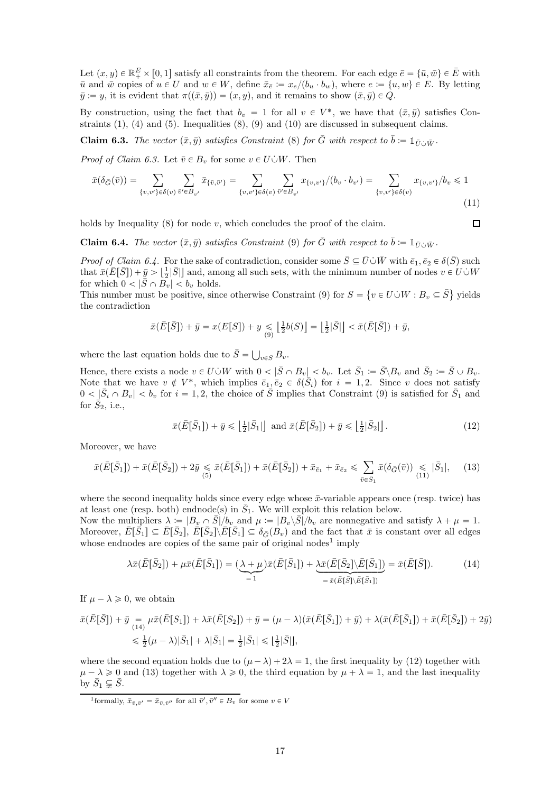Let  $(x, y) \in \mathbb{R}_+^E \times [0, 1]$  satisfy all constraints from the theorem. For each edge  $\bar{e} = {\bar{u}, \bar{w}} \in \bar{E}$  with  $\bar{u}$  and  $\bar{w}$  copies of  $u \in U$  and  $w \in W$ , define  $\bar{x}_{\bar{e}} := x_e/(b_u \cdot b_w)$ , where  $e := \{u, w\} \in E$ . By letting  $\bar{y} := y$ , it is evident that  $\pi((\bar{x}, \bar{y})) = (x, y)$ , and it remains to show  $(\bar{x}, \bar{y}) \in \hat{Q}$ .

By construction, using the fact that  $b_v = 1$  for all  $v \in V^*$ , we have that  $(\bar{x}, \bar{y})$  satisfies Constraints  $(1)$ ,  $(4)$  and  $(5)$ . Inequalities  $(8)$ ,  $(9)$  and  $(10)$  are discussed in subsequent claims.

<span id="page-16-0"></span>**Claim 6.3.** The vector  $(\bar{x}, \bar{y})$  satisfies Constraint [\(8\)](#page-14-1) for  $\bar{G}$  with respect to  $\bar{b} := 1_{\bar{U} \cup \bar{W}}$ .

*Proof of Claim [6.3.](#page-16-0)* Let  $\bar{v} \in B_v$  for some  $v \in U \dot{\cup} W$ . Then

$$
\bar{x}(\delta_{\bar{G}}(\bar{v})) = \sum_{\{v,v'\} \in \delta(v)} \sum_{\bar{v}' \in B_{v'}} \bar{x}_{\{\bar{v},\bar{v}'\}} = \sum_{\{v,v'\} \in \delta(v)} \sum_{\bar{v}' \in B_{v'}} x_{\{v,v'\}}/(b_v \cdot b_{v'}) = \sum_{\{v,v'\} \in \delta(v)} x_{\{v,v'\}}/b_v \le 1
$$
\n(11)

holds by Inequality  $(8)$  for node v, which concludes the proof of the claim.

<span id="page-16-1"></span>**Claim 6.4.** The vector  $(\bar{x}, \bar{y})$  satisfies Constraint [\(9\)](#page-14-2) for  $\bar{G}$  with respect to  $\bar{b} := 1_{\bar{U} \cup \bar{W}}$ .

*Proof of Claim [6.4.](#page-16-1)* For the sake of contradiction, consider some  $\bar{S} \subseteq \bar{U} \cup \bar{W}$  with  $\bar{e}_1, \bar{e}_2 \in \delta(\bar{S})$  such that  $\bar{x}(\bar{E}[\bar{S}]) + \bar{y} > \lfloor \frac{1}{2} |S| \rfloor$  and, among all such sets, with the minimum number of nodes  $v \in U \cup W$ for which  $0 < |\bar{S} \cap B_v| < b_v$  holds.

This number must be positive, since otherwise Constraint [\(9\)](#page-14-2) for  $S = \{v \in U \cup W : B_v \subseteq \overline{S}\}\$  yields the contradiction

$$
\bar{x}(\bar{E}[\bar{S}]) + \bar{y} = x(E[S]) + y \underset{(9)}{\leq} \left\lfloor \frac{1}{2}b(S) \right\rfloor = \left\lfloor \frac{1}{2}|\bar{S}| \right\rfloor < \bar{x}(\bar{E}[\bar{S}]) + \bar{y},
$$

where the last equation holds due to  $\bar{S} = \bigcup_{v \in S} B_v$ .

Hence, there exists a node  $v \in U \dot{\cup} W$  with  $0 < |\bar{S} \cap B_v| < b_v$ . Let  $\bar{S}_1 := \bar{S} \setminus B_v$  and  $\bar{S}_2 := \bar{S} \cup B_v$ . Note that we have  $v \notin V^*$ , which implies  $\bar{e}_1, \bar{e}_2 \in \delta(\bar{S}_i)$  for  $i = 1, 2$ . Since v does not satisfy  $0 < |\bar{S}_i \cap B_v| < b_v$  for  $i = 1, 2$ , the choice of  $\bar{S}$  implies that Constraint [\(9\)](#page-14-2) is satisfied for  $\bar{S}_1$  and for  $\bar{S}_2$ , i.e.,

<span id="page-16-4"></span>
$$
\bar{x}(\bar{E}[\bar{S}_1]) + \bar{y} \leq \left\lfloor \frac{1}{2} |\bar{S}_1| \right\rfloor \text{ and } \bar{x}(\bar{E}[\bar{S}_2]) + \bar{y} \leq \left\lfloor \frac{1}{2} |\bar{S}_2| \right\rfloor. \tag{12}
$$

<span id="page-16-6"></span><span id="page-16-5"></span><span id="page-16-2"></span> $\Box$ 

Moreover, we have

$$
\bar{x}(\bar{E}[\bar{S}_1]) + \bar{x}(\bar{E}[\bar{S}_2]) + 2\bar{y} \leq \bar{x}(\bar{E}[\bar{S}_1]) + \bar{x}(\bar{E}[\bar{S}_2]) + \bar{x}_{\bar{e}_1} + \bar{x}_{\bar{e}_2} \leq \sum_{\bar{v}\in\bar{S}_1} \bar{x}(\delta_{\bar{G}}(\bar{v})) \leq |\bar{S}_1|, \quad (13)
$$

where the second inequality holds since every edge whose  $\bar{x}$ -variable appears once (resp. twice) has at least one (resp. both) endnode(s) in  $\bar{S}_1$ . We will exploit this relation below.

Now the multipliers  $\lambda := |B_v \cap \overline{S}|/b_v$  and  $\mu := |B_v \backslash \overline{S}|/b_v$  are nonnegative and satisfy  $\lambda + \mu = 1$ . Moreover,  $\bar{E}[\bar{S}_1] \subseteq \bar{E}[\bar{S}_2], \bar{E}[\bar{S}_2] \backslash \bar{E}[\bar{S}_1] \subseteq \delta_{\bar{G}}(B_v)$  and the fact that  $\bar{x}$  is constant over all edges whose endnodes are copies of the same pair of original nodes<sup>[1](#page-16-3)</sup> imply

$$
\lambda \bar{x}(\bar{E}[\bar{S}_2]) + \mu \bar{x}(\bar{E}[\bar{S}_1]) = (\underbrace{\lambda + \mu}_{=1}) \bar{x}(\bar{E}[\bar{S}_1]) + \underbrace{\lambda \bar{x}(\bar{E}[\bar{S}_2] \backslash \bar{E}[\bar{S}_1])}_{= \bar{x}(\bar{E}[\bar{S}] \backslash \bar{E}[\bar{S}_1])} = \bar{x}(\bar{E}[\bar{S}]). \tag{14}
$$

If  $\mu - \lambda \geqslant 0$ , we obtain

$$
\bar{x}(\bar{E}[\bar{S}]) + \bar{y} = \mu \bar{x}(\bar{E}[S_1]) + \lambda \bar{x}(\bar{E}[S_2]) + \bar{y} = (\mu - \lambda)(\bar{x}(\bar{E}[\bar{S}_1]) + \bar{y}) + \lambda(\bar{x}(\bar{E}[\bar{S}_1]) + \bar{x}(\bar{E}[\bar{S}_2]) + 2\bar{y})
$$
  

$$
\leq \frac{1}{2}(\mu - \lambda)|\bar{S}_1| + \lambda|\bar{S}_1| = \frac{1}{2}|\bar{S}_1| \leq |\frac{1}{2}|\bar{S}||,
$$

where the second equation holds due to  $(\mu - \lambda) + 2\lambda = 1$ , the first inequality by [\(12\)](#page-16-5) together with  $\mu - \lambda \geq 0$  and [\(13\)](#page-16-6) together with  $\lambda \geq 0$ , the third equation by  $\mu + \lambda = 1$ , and the last inequality by  $\bar{S}_1 \subsetneq \bar{S}$ .

<span id="page-16-3"></span><sup>&</sup>lt;sup>1</sup> formally,  $\bar{x}_{\bar{v}, \bar{v}'} = \bar{x}_{\bar{v}, \bar{v}''}$  for all  $\bar{v}', \bar{v}'' \in B_v$  for some  $v \in V$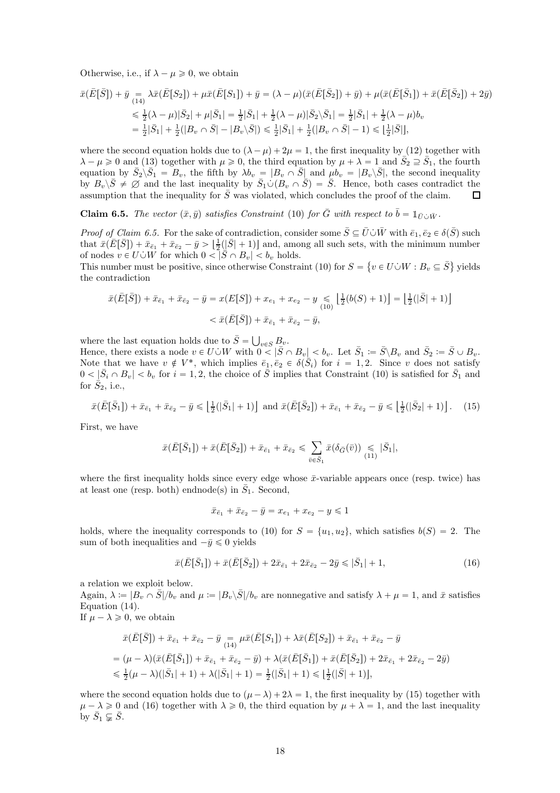Otherwise, i.e., if  $\lambda - \mu \geqslant 0$ , we obtain

$$
\bar{x}(\bar{E}[\bar{S}]) + \bar{y} = \lambda \bar{x}(\bar{E}[S_2]) + \mu \bar{x}(\bar{E}[S_1]) + \bar{y} = (\lambda - \mu)(\bar{x}(\bar{E}[\bar{S}_2]) + \bar{y}) + \mu(\bar{x}(\bar{E}[\bar{S}_1]) + \bar{x}(\bar{E}[\bar{S}_2]) + 2\bar{y})
$$
\n
$$
\leq \frac{1}{2}(\lambda - \mu)|\bar{S}_2| + \mu|\bar{S}_1| = \frac{1}{2}|\bar{S}_1| + \frac{1}{2}(\lambda - \mu)|\bar{S}_2\backslash\bar{S}_1| = \frac{1}{2}|\bar{S}_1| + \frac{1}{2}(\lambda - \mu)b_v
$$
\n
$$
= \frac{1}{2}|\bar{S}_1| + \frac{1}{2}(|B_v \cap \bar{S}| - |B_v \backslash\bar{S}|) \leq \frac{1}{2}|\bar{S}_1| + \frac{1}{2}(|B_v \cap \bar{S}| - 1) \leq \left\lfloor \frac{1}{2}|\bar{S}|\right\rfloor,
$$

where the second equation holds due to  $(\lambda - \mu) + 2\mu = 1$ , the first inequality by [\(12\)](#page-16-5) together with  $\lambda - \mu \geq 0$  and [\(13\)](#page-16-6) together with  $\mu \geq 0$ , the third equation by  $\mu + \lambda = 1$  and  $\overline{S}_2 \supseteq \overline{S}_1$ , the fourth equation by  $\overline{S_2} \backslash \overline{S_1} = B_v$ , the fifth by  $\lambda b_v = |B_v \cap \overline{S}|$  and  $\mu b_v = |B_v \backslash \overline{S}|$ , the second inequality by  $B_v\backslash \bar{S} \neq \emptyset$  and the last inequality by  $\bar{S}_1 \cup (B_v \cap \bar{S}) = \bar{S}$ . Hence, both cases contradict the assumption that the inequality for  $\bar{S}$  was violated, which concludes the proof of the claim.  $\Box$ 

<span id="page-17-0"></span>**Claim 6.5.** The vector  $(\bar{x}, \bar{y})$  satisfies Constraint [\(10\)](#page-14-3) for  $\bar{G}$  with respect to  $\bar{b} = \mathbb{1}_{\bar{U}\cup\bar{W}}$ .

*Proof of Claim [6.5.](#page-17-0)* For the sake of contradiction, consider some  $\bar{S} \subseteq \bar{U} \cup \bar{W}$  with  $\bar{e}_1, \bar{e}_2 \in \delta(\bar{S})$  such that  $\bar{x}(\bar{E}[\bar{S}]) + \bar{x}_{\bar{e}_1} + \bar{x}_{\bar{e}_2} - \bar{y} > \left[\frac{1}{2}(\bar{S}+1)\right]$  and, among all such sets, with the minimum number of nodes  $v \in U \cup W$  for which  $0 < |\bar{S} \cap B_v| < b_v$  holds.

This number must be positive, since otherwise Constraint [\(10\)](#page-14-3) for  $S = \{v \in U \cup W : B_v \subseteq \overline{S}\}\$  yields the contradiction

$$
\bar{x}(\bar{E}[\bar{S}]) + \bar{x}_{\bar{e}_1} + \bar{x}_{\bar{e}_2} - \bar{y} = x(E[S]) + x_{e_1} + x_{e_2} - y \leq \left[\frac{1}{2}(b(S) + 1)\right] = \left[\frac{1}{2}(|\bar{S}| + 1)\right] \n< \bar{x}(\bar{E}[\bar{S}]) + \bar{x}_{\bar{e}_1} + \bar{x}_{\bar{e}_2} - \bar{y},
$$

where the last equation holds due to  $\bar{S} = \bigcup_{v \in S} B_v$ .

Hence, there exists a node  $v \in U \cup W$  with  $0 < |\bar{S} \cap B_v| < b_v$ . Let  $\bar{S}_1 := \bar{S} \setminus B_v$  and  $\bar{S}_2 := \bar{S} \cup B_v$ . Note that we have  $v \notin V^*$ , which implies  $\bar{e}_1, \bar{e}_2 \in \delta(\bar{S}_i)$  for  $i = 1, 2$ . Since v does not satisfy  $0 < |\bar{S}_i \cap B_v| < b_v$  for  $i = 1, 2$ , the choice of  $\bar{S}$  implies that Constraint [\(10\)](#page-14-3) is satisfied for  $\bar{S}_1$  and for  $\dot{S}_2$ , i.e.,

$$
\bar{x}(\bar{E}[\bar{S}_1]) + \bar{x}_{\bar{e}_1} + \bar{x}_{\bar{e}_2} - \bar{y} \leq \left\lfloor \frac{1}{2}(|\bar{S}_1| + 1) \right\rfloor \text{ and } \bar{x}(\bar{E}[\bar{S}_2]) + \bar{x}_{\bar{e}_1} + \bar{x}_{\bar{e}_2} - \bar{y} \leq \left\lfloor \frac{1}{2}(|\bar{S}_2| + 1) \right\rfloor. \tag{15}
$$

First, we have

$$
\bar{x}(\bar{E}[\bar{S}_1]) + \bar{x}(\bar{E}[\bar{S}_2]) + \bar{x}_{\bar{e}_1} + \bar{x}_{\bar{e}_2} \leq \sum_{\bar{v}\in\bar{S}_1} \bar{x}(\delta_{\bar{G}}(\bar{v})) \leq |\bar{S}_1|,
$$

where the first inequality holds since every edge whose  $\bar{x}$ -variable appears once (resp. twice) has at least one (resp. both) endnode(s) in  $\overline{S}_1$ . Second,

<span id="page-17-2"></span><span id="page-17-1"></span> $\bar{x}_{\bar{e}_1} + \bar{x}_{\bar{e}_2} - \bar{y} = x_{e_1} + x_{e_2} - y \leq 1$ 

holds, where the inequality corresponds to [\(10\)](#page-14-3) for  $S = \{u_1, u_2\}$ , which satisfies  $b(S) = 2$ . The sum of both inequalities and  $-\bar{u} \leq 0$  yields

$$
\bar{x}(\bar{E}[\bar{S}_1]) + \bar{x}(\bar{E}[\bar{S}_2]) + 2\bar{x}_{\bar{e}_1} + 2\bar{x}_{\bar{e}_2} - 2\bar{y} \le |\bar{S}_1| + 1, \tag{16}
$$

a relation we exploit below.

Again,  $\lambda := |B_v \cap \overline{S}|/b_v$  and  $\mu := |B_v \backslash \overline{S}|/b_v$  are nonnegative and satisfy  $\lambda + \mu = 1$ , and  $\overline{x}$  satisfies Equation [\(14\)](#page-16-4).

If  $\mu - \lambda \geq 0$ , we obtain

$$
\bar{x}(\bar{E}[\bar{S}]) + \bar{x}_{\bar{e}_1} + \bar{x}_{\bar{e}_2} - \bar{y} = \mu \bar{x}(\bar{E}[S_1]) + \lambda \bar{x}(\bar{E}[S_2]) + \bar{x}_{\bar{e}_1} + \bar{x}_{\bar{e}_2} - \bar{y}
$$
\n
$$
= (\mu - \lambda)(\bar{x}(\bar{E}[\bar{S}_1]) + \bar{x}_{\bar{e}_1} + \bar{x}_{\bar{e}_2} - \bar{y}) + \lambda(\bar{x}(\bar{E}[\bar{S}_1]) + \bar{x}(\bar{E}[\bar{S}_2]) + 2\bar{x}_{\bar{e}_1} + 2\bar{x}_{\bar{e}_2} - 2\bar{y})
$$
\n
$$
\leq \frac{1}{2}(\mu - \lambda)(|\bar{S}_1| + 1) + \lambda(|\bar{S}_1| + 1) = \frac{1}{2}(|\bar{S}_1| + 1) \leq |\frac{1}{2}(|\bar{S}| + 1)],
$$

where the second equation holds due to  $(\mu - \lambda) + 2\lambda = 1$ , the first inequality by [\(15\)](#page-17-1) together with  $\mu - \lambda \geq 0$  and [\(16\)](#page-17-2) together with  $\lambda \geq 0$ , the third equation by  $\mu + \lambda = 1$ , and the last inequality by  $\bar{S}_1 \subsetneq \bar{S}$ .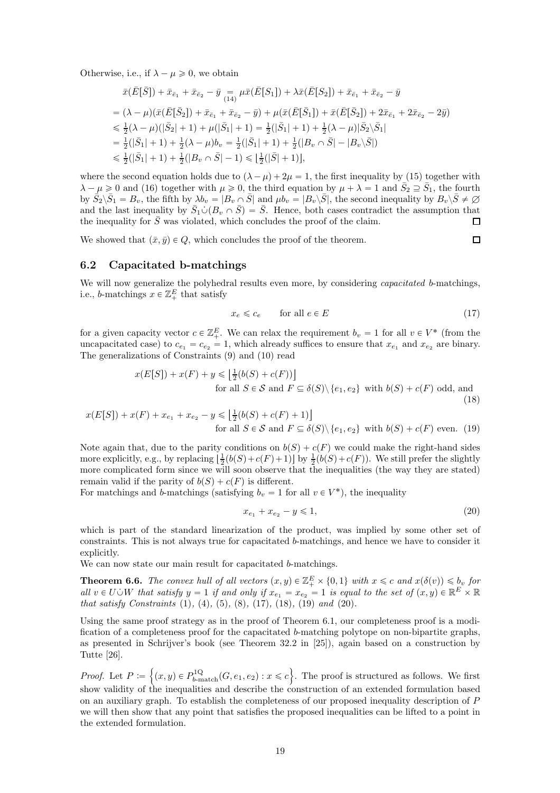Otherwise, i.e., if  $\lambda - \mu \geqslant 0$ , we obtain

$$
\begin{split}\n\bar{x}(\bar{E}[\bar{S}]) + \bar{x}_{\bar{e}_{1}} + \bar{x}_{\bar{e}_{2}} - \bar{y} &= \mu \bar{x}(\bar{E}[S_{1}]) + \lambda \bar{x}(\bar{E}[S_{2}]) + \bar{x}_{\bar{e}_{1}} + \bar{x}_{\bar{e}_{2}} - \bar{y} \\
&= (\lambda - \mu)(\bar{x}(\bar{E}[\bar{S}_{2}]) + \bar{x}_{\bar{e}_{1}} + \bar{x}_{\bar{e}_{2}} - \bar{y}) + \mu(\bar{x}(\bar{E}[\bar{S}_{1}]) + \bar{x}(\bar{E}[\bar{S}_{2}]) + 2\bar{x}_{\bar{e}_{1}} + 2\bar{x}_{\bar{e}_{2}} - 2\bar{y}) \\
&\leq \frac{1}{2}(\lambda - \mu)(|\bar{S}_{2}| + 1) + \mu(|\bar{S}_{1}| + 1) = \frac{1}{2}(|\bar{S}_{1}| + 1) + \frac{1}{2}(\lambda - \mu)|\bar{S}_{2}\backslash\bar{S}_{1}| \\
&= \frac{1}{2}(|\bar{S}_{1}| + 1) + \frac{1}{2}(\lambda - \mu)b_{v} = \frac{1}{2}(|\bar{S}_{1}| + 1) + \frac{1}{2}(|B_{v} \cap \bar{S}| - |B_{v}\backslash\bar{S}|) \\
&\leq \frac{1}{2}(|\bar{S}_{1}| + 1) + \frac{1}{2}(|B_{v} \cap \bar{S}| - 1) \leq \left[\frac{1}{2}(|\bar{S}| + 1)\right],\n\end{split}
$$

where the second equation holds due to  $(\lambda - \mu) + 2\mu = 1$ , the first inequality by [\(15\)](#page-17-1) together with  $\lambda - \mu \geq 0$  and [\(16\)](#page-17-2) together with  $\mu \geq 0$ , the third equation by  $\mu + \lambda = 1$  and  $\overline{S}_2 \supseteq \overline{S}_1$ , the fourth by  $\overline{S_2} \setminus \overline{S_1} = B_v$ , the fifth by  $\lambda b_v = |B_v \cap \overline{S}|$  and  $\mu b_v = |B_v \setminus \overline{S}|$ , the second inequality by  $B_v \setminus \overline{S} \neq \emptyset$ and the last inequality by  $\bar{S}_1 \cup (B_v \cap \bar{S}) = \bar{S}$ . Hence, both cases contradict the assumption that the inequality for  $\bar{S}$  was violated, which concludes the proof of the claim.

We showed that  $(\bar{x}, \bar{y}) \in Q$ , which concludes the proof of the theorem.

<span id="page-18-2"></span><span id="page-18-1"></span><span id="page-18-0"></span> $\Box$ 

## 6.2 Capacitated b-matchings

We will now generalize the polyhedral results even more, by considering *capacitated b*-matchings, i.e., b-matchings  $x \in \mathbb{Z}_+^E$  that satisfy

$$
x_e \leq c_e \qquad \text{for all } e \in E \tag{17}
$$

for a given capacity vector  $c \in \mathbb{Z}_+^E$ . We can relax the requirement  $b_v = 1$  for all  $v \in V^*$  (from the uncapacitated case) to  $c_{e_1} = c_{e_2} = 1$ , which already suffices to ensure that  $x_{e_1}$  and  $x_{e_2}$  are binary. The generalizations of Constraints [\(9\)](#page-14-2) and [\(10\)](#page-14-3) read

$$
x(E[S]) + x(F) + y \le \left\lfloor \frac{1}{2} (b(S) + c(F)) \right\rfloor
$$
  
for all  $S \in \mathcal{S}$  and  $F \subseteq \delta(S) \setminus \{e_1, e_2\}$  with  $b(S) + c(F)$  odd, and  
(18)

$$
x(E[S]) + x(F) + x_{e_1} + x_{e_2} - y \le \left\lfloor \frac{1}{2} (b(S) + c(F) + 1) \right\rfloor
$$
  
for all  $S \in \mathcal{S}$  and  $F \subseteq \delta(S) \setminus \{e_1, e_2\}$  with  $b(S) + c(F)$  even. (19)

Note again that, due to the parity conditions on  $b(S) + c(F)$  we could make the right-hand sides more explicitly, e.g., by replacing  $\left[\frac{1}{2}(b(S) + c(F) + 1)\right]$  by  $\frac{1}{2}(b(S) + c(F))$ . We still prefer the slightly more complicated form since we will soon observe that the inequalities (the way they are stated) remain valid if the parity of  $b(S) + c(F)$  is different.

For matchings and b-matchings (satisfying  $b_v = 1$  for all  $v \in V^*$ ), the inequality

<span id="page-18-3"></span>
$$
x_{e_1} + x_{e_2} - y \leq 1,\tag{20}
$$

which is part of the standard linearization of the product, was implied by some other set of constraints. This is not always true for capacitated b-matchings, and hence we have to consider it explicitly.

We can now state our main result for capacitated b-matchings.

<span id="page-18-4"></span>**Theorem 6.6.** The convex hull of all vectors  $(x, y) \in \mathbb{Z}_+^E \times \{0, 1\}$  with  $x \leq c$  and  $x(\delta(v)) \leq b_v$  for all  $v \in U \cup W$  that satisfy  $y = 1$  if and only if  $x_{e_1} = x_{e_2} = 1$  is equal to the set of  $(x, y) \in \mathbb{R}^E \times \mathbb{R}$ that satisfy Constraints  $(1)$ ,  $(4)$ ,  $(5)$ ,  $(8)$ ,  $(17)$ ,  $(18)$ ,  $(19)$  and  $(20)$ .

Using the same proof strategy as in the proof of Theorem [6.1,](#page-15-1) our completeness proof is a modification of a completeness proof for the capacitated b-matching polytope on non-bipartite graphs, as presented in Schrijver's book (see Theorem 32.2 in [\[25\]](#page-26-1)), again based on a construction by Tutte [\[26\]](#page-26-19).

*Proof.* Let  $P := \{(x, y) \in P_{b\text{-match}}^{1Q}(G, e_1, e_2) : x \leqslant c\}$ . The proof is structured as follows. We first show validity of the inequalities and describe the construction of an extended formulation based on an auxiliary graph. To establish the completeness of our proposed inequality description of P we will then show that any point that satisfies the proposed inequalities can be lifted to a point in the extended formulation.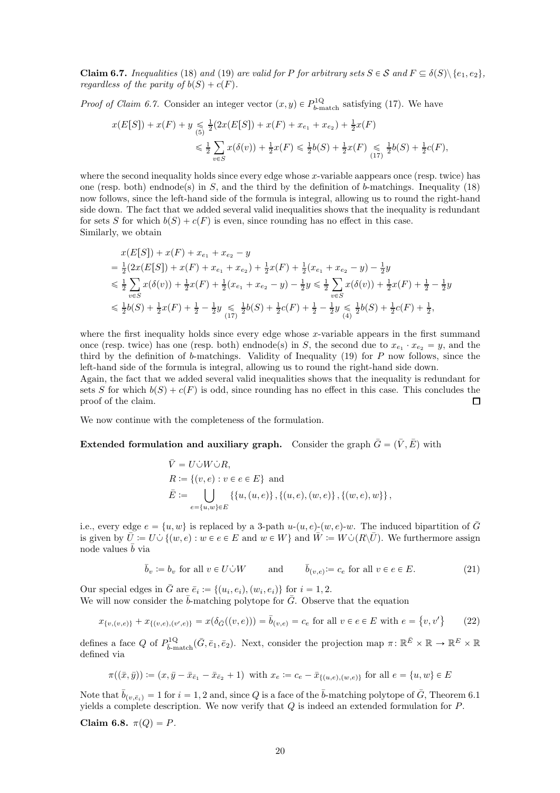<span id="page-19-0"></span>**Claim 6.7.** Inequalities [\(18\)](#page-18-1) and [\(19\)](#page-18-2) are valid for P for arbitrary sets  $S \in \mathcal{S}$  and  $F \subseteq \delta(S) \setminus \{e_1, e_2\}$ , regardless of the parity of  $b(S) + c(F)$ .

*Proof of Claim [6.7.](#page-19-0)* Consider an integer vector  $(x, y) \in P_{b-\text{match}}^{1Q}$  satisfying [\(17\)](#page-18-0). We have

$$
x(E[S]) + x(F) + y \leq \frac{1}{5}(2x(E[S]) + x(F) + x_{e_1} + x_{e_2}) + \frac{1}{2}x(F)
$$
  

$$
\leq \frac{1}{2} \sum_{v \in S} x(\delta(v)) + \frac{1}{2}x(F) \leq \frac{1}{2}b(S) + \frac{1}{2}x(F) \leq \frac{1}{2}b(S) + \frac{1}{2}c(F),
$$

where the second inequality holds since every edge whose x-variable aappears once (resp. twice) has one (resp. both) endnode(s) in S, and the third by the definition of b-matchings. Inequality [\(18\)](#page-18-1) now follows, since the left-hand side of the formula is integral, allowing us to round the right-hand side down. The fact that we added several valid inequalities shows that the inequality is redundant for sets S for which  $b(S) + c(F)$  is even, since rounding has no effect in this case. Similarly, we obtain

$$
x(E[S]) + x(F) + x_{e_1} + x_{e_2} - y
$$
  
=  $\frac{1}{2}(2x(E[S]) + x(F) + x_{e_1} + x_{e_2}) + \frac{1}{2}x(F) + \frac{1}{2}(x_{e_1} + x_{e_2} - y) - \frac{1}{2}y$   
 $\leq \frac{1}{2}\sum_{v \in S} x(\delta(v)) + \frac{1}{2}x(F) + \frac{1}{2}(x_{e_1} + x_{e_2} - y) - \frac{1}{2}y \leq \frac{1}{2}\sum_{v \in S} x(\delta(v)) + \frac{1}{2}x(F) + \frac{1}{2} - \frac{1}{2}y$   
 $\leq \frac{1}{2}b(S) + \frac{1}{2}x(F) + \frac{1}{2} - \frac{1}{2}y \leq \frac{1}{2}b(S) + \frac{1}{2}c(F) + \frac{1}{2} - \frac{1}{2}y \leq \frac{1}{2}b(S) + \frac{1}{2}c(F) + \frac{1}{2},$ 

where the first inequality holds since every edge whose  $x$ -variable appears in the first summand once (resp. twice) has one (resp. both) endnode(s) in S, the second due to  $x_{e_1} \cdot x_{e_2} = y$ , and the third by the definition of b-matchings. Validity of Inequality [\(19\)](#page-18-2) for P now follows, since the left-hand side of the formula is integral, allowing us to round the right-hand side down.

Again, the fact that we added several valid inequalities shows that the inequality is redundant for sets S for which  $b(S) + c(F)$  is odd, since rounding has no effect in this case. This concludes the proof of the claim.  $\Box$ 

We now continue with the completeness of the formulation.

#### **Extended formulation and auxiliary graph.** Consider the graph  $\bar{G} = (\bar{V}, \bar{E})$  with

<span id="page-19-3"></span>
$$
\bar{V} = U \dot{\cup} W \dot{\cup} R,
$$
  
\n
$$
R := \{ (v, e) : v \in e \in E \} \text{ and}
$$
  
\n
$$
\bar{E} := \bigcup_{e = \{u, w\} \in E} \{ \{u, (u, e) \}, \{(u, e), (w, e) \}, \{(w, e), w \} \},
$$

i.e., every edge  $e = \{u, w\}$  is replaced by a 3-path  $u-(u, e)-(w, e)-w$ . The induced bipartition of  $\overline{G}$ is given by  $\overline{U} := U \cup \{ (w, e) : w \in e \in E \text{ and } w \in W \}$  and  $\overline{W} := W \cup (R \setminus \overline{U})$ . We furthermore assign node values  $\bar{b}$  via

<span id="page-19-2"></span>
$$
\bar{b}_v := b_v \text{ for all } v \in U \dot{\cup} W \quad \text{and} \quad \bar{b}_{(v,e)} := c_e \text{ for all } v \in e \in E. \tag{21}
$$

Our special edges in  $\bar{G}$  are  $\bar{e}_i := \{(u_i, e_i), (w_i, e_i)\}\$ for  $i = 1, 2$ . We will now consider the  $\bar{b}$ -matching polytope for  $\bar{G}$ . Observe that the equation

$$
x_{\{v,(v,e)\}} + x_{\{(v,e),(v',e)\}} = x(\delta_{\bar{G}}((v,e))) = \bar{b}_{(v,e)} = c_e \text{ for all } v \in e \in E \text{ with } e = \{v,v'\} \tag{22}
$$

defines a face Q of  $P_{\bar{b}\text{-match}}^{1Q}(\bar{G}, \bar{e}_1, \bar{e}_2)$ . Next, consider the projection map  $\pi \colon \mathbb{R}^{\bar{E}} \times \mathbb{R} \to \mathbb{R}^E \times \mathbb{R}$ defined via

$$
\pi((\bar{x}, \bar{y})) := (x, \bar{y} - \bar{x}_{\bar{e}_1} - \bar{x}_{\bar{e}_2} + 1) \text{ with } x_e := c_e - \bar{x}_{\{(u,e),(w,e)\}} \text{ for all } e = \{u,w\} \in E
$$

Note that  $\bar{b}_{(v,\bar{e}_i)} = 1$  for  $i = 1, 2$  and, since Q is a face of the  $\bar{b}$ -matching polytope of  $\bar{G}$ , Theorem [6.1](#page-15-1) yields a complete description. We now verify that  $Q$  is indeed an extended formulation for  $P$ .

<span id="page-19-1"></span>Claim 6.8.  $\pi(Q) = P$ .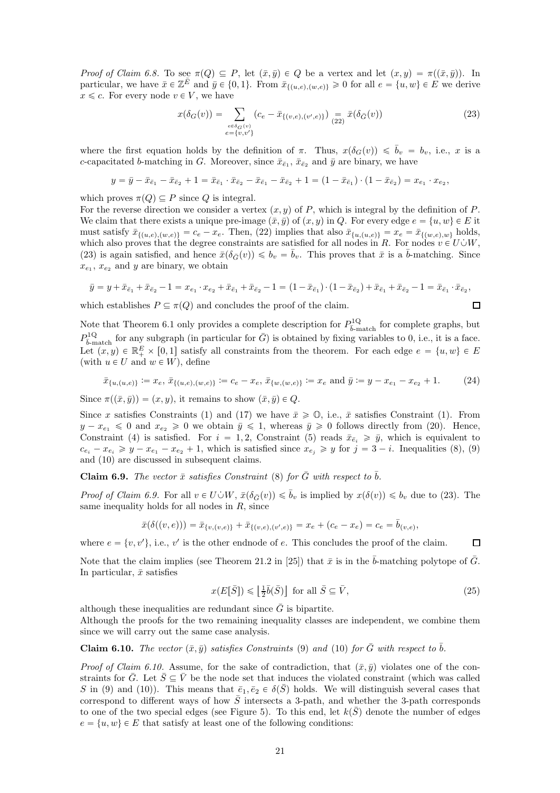Proof of Claim [6.8.](#page-19-1) To see  $\pi(Q) \subseteq P$ , let  $(\bar{x}, \bar{y}) \in Q$  be a vertex and let  $(x, y) = \pi((\bar{x}, \bar{y}))$ . In particular, we have  $\bar{x} \in \mathbb{Z}^{\bar{E}}$  and  $\bar{y} \in \{0, 1\}$ . From  $\bar{x}_{\{(u,e),(w,e)\}} \geq 0$  for all  $e = \{u, w\} \in \bar{E}$  we derive  $x \leq c$ . For every node  $v \in V$ , we have

$$
x(\delta_G(v)) = \sum_{\substack{e \in \delta_G(v) \\ e = \{v, v'\}}} (c_e - \bar{x}_{\{(v, e), (v', e)\}}) = \bar{x}(\delta_{\bar{G}}(v))
$$
\n(23)

<span id="page-20-3"></span><span id="page-20-0"></span> $\Box$ 

<span id="page-20-4"></span> $\Box$ 

where the first equation holds by the definition of  $\pi$ . Thus,  $x(\delta_G(v)) \leq \overline{b}_v = b_v$ , i.e., x is a c-capacitated b-matching in G. Moreover, since  $\bar{x}_{\bar{e}_1}$ ,  $\bar{x}_{\bar{e}_2}$  and  $\bar{y}$  are binary, we have

$$
y = \bar{y} - \bar{x}_{\bar{e}_1} - \bar{x}_{\bar{e}_2} + 1 = \bar{x}_{\bar{e}_1} \cdot \bar{x}_{\bar{e}_2} - \bar{x}_{\bar{e}_1} - \bar{x}_{\bar{e}_2} + 1 = (1 - \bar{x}_{\bar{e}_1}) \cdot (1 - \bar{x}_{\bar{e}_2}) = x_{e_1} \cdot x_{e_2},
$$

which proves  $\pi(Q) \subseteq P$  since Q is integral.

For the reverse direction we consider a vertex  $(x, y)$  of P, which is integral by the definition of P. We claim that there exists a unique pre-image  $(\bar{x}, \bar{y})$  of  $(x, y)$  in Q. For every edge  $e = \{u, w\} \in E$  it must satisfy  $\bar{x}_{\{(u,e),(w,e)\}} = c_e - x_e$ . Then, [\(22\)](#page-19-2) implies that also  $\bar{x}_{\{u,(u,e)\}} = x_e = \bar{x}_{\{(w,e),w\}}$  holds, which also proves that the degree constraints are satisfied for all nodes in R. For nodes  $v \in U \cup W$ , [\(23\)](#page-20-0) is again satisfied, and hence  $\bar{x}(\delta_{\bar{G}}(v)) \leq b_v = \bar{b}_v$ . This proves that  $\bar{x}$  is a  $\bar{b}$ -matching. Since  $x_{e_1}, x_{e_2}$  and y are binary, we obtain

$$
\bar{y} = y + \bar{x}_{\bar{e}_1} + \bar{x}_{\bar{e}_2} - 1 = x_{e_1} \cdot x_{e_2} + \bar{x}_{\bar{e}_1} + \bar{x}_{\bar{e}_2} - 1 = (1 - \bar{x}_{\bar{e}_1}) \cdot (1 - \bar{x}_{\bar{e}_2}) + \bar{x}_{\bar{e}_1} + \bar{x}_{\bar{e}_2} - 1 = \bar{x}_{\bar{e}_1} \cdot \bar{x}_{\bar{e}_2},
$$

which establishes  $P \subseteq \pi(Q)$  and concludes the proof of the claim.

Note that Theorem 6.1 only provides a complete description for 
$$
P_{\overline{b}
$$
-match for complete graphs, but  $P_{\overline{b}-\text{match}}^{1Q}$  for any subgraph (in particular for  $\overline{G}$ ) is obtained by fixing variables to 0, i.e., it is a face.  
Let  $(x, y) \in \mathbb{R}_+^E \times [0, 1]$  satisfy all constraints from the theorem. For each edge  $e = \{u, w\} \in E$  (with  $u \in U$  and  $w \in W$ ), define

$$
\bar{x}_{\{u,(u,e)\}} := x_e, \, \bar{x}_{\{(u,e),(w,e)\}} := c_e - x_e, \, \bar{x}_{\{w,(w,e)\}} := x_e \text{ and } \bar{y} := y - x_{e_1} - x_{e_2} + 1. \tag{24}
$$

Since  $\pi((\bar{x}, \bar{y})) = (x, y)$ , it remains to show  $(\bar{x}, \bar{y}) \in Q$ .

Since x satisfies Constraints [\(1\)](#page-0-1) and [\(17\)](#page-18-0) we have  $\bar{x} \ge 0$ , i.e.,  $\bar{x}$  satisfies Constraint (1). From  $y - x_{e_1} \leq 0$  and  $x_{e_2} \geq 0$  we obtain  $\bar{y} \leq 1$ , whereas  $\bar{y} \geq 0$  follows directly from [\(20\)](#page-18-3). Hence, Constraint [\(4\)](#page-1-0) is satisfied. For  $i = 1, 2$ , Constraint [\(5\)](#page-1-1) reads  $\bar{x}_{\bar{e}_i} \geq \bar{y}$ , which is equivalent to  $c_{e_i} - x_{e_i} \geq y - x_{e_1} - x_{e_2} + 1$ , which is satisfied since  $x_{e_j} \geq y$  for  $j = 3 - i$ . Inequalities [\(8\)](#page-14-1), [\(9\)](#page-14-2) and [\(10\)](#page-14-3) are discussed in subsequent claims.

<span id="page-20-1"></span>**Claim 6.9.** The vector  $\bar{x}$  satisfies Constraint [\(8\)](#page-14-1) for  $\bar{G}$  with respect to  $\bar{b}$ .

*Proof of Claim [6.9.](#page-20-1)* For all  $v \in U \cup W$ ,  $\bar{x}(\delta_{\bar{G}}(v)) \leq \bar{b}_v$  is implied by  $x(\delta(v)) \leq b_v$  due to [\(23\)](#page-20-0). The same inequality holds for all nodes in  $R$ , since

$$
\bar{x}(\delta((v,e))) = \bar{x}_{\{v,(v,e)\}} + \bar{x}_{\{(v,e),(v',e)\}} = x_e + (c_e - x_e) = c_e = \bar{b}_{(v,e)},
$$

where  $e = \{v, v'\}$ , i.e., v' is the other endnode of e. This concludes the proof of the claim.

Note that the claim implies (see Theorem 21.2 in [\[25\]](#page-26-1)) that  $\bar{x}$  is in the  $\bar{b}$ -matching polytope of  $\bar{G}$ . In particular,  $\bar{x}$  satisfies

$$
x(E[\bar{S}]) \leq \left\lfloor \frac{1}{2}\bar{b}(\bar{S}) \right\rfloor \text{ for all } \bar{S} \subseteq \bar{V},\tag{25}
$$

although these inequalities are redundant since  $\overline{G}$  is bipartite.

Although the proofs for the two remaining inequality classes are independent, we combine them since we will carry out the same case analysis.

<span id="page-20-2"></span>**Claim 6.10.** The vector  $(\bar{x}, \bar{y})$  satisfies Constraints [\(9\)](#page-14-2) and [\(10\)](#page-14-3) for  $\bar{G}$  with respect to  $\bar{b}$ .

*Proof of Claim [6.10.](#page-20-2)* Assume, for the sake of contradiction, that  $(\bar{x}, \bar{y})$  violates one of the constraints for  $\bar{G}$ . Let  $\bar{S} \subseteq \bar{V}$  be the node set that induces the violated constraint (which was called S in [\(9\)](#page-14-2) and [\(10\)](#page-14-3)). This means that  $\bar{e}_1, \bar{e}_2 \in \delta(\bar{S})$  holds. We will distinguish several cases that correspond to different ways of how  $\overline{S}$  intersects a 3-path, and whether the 3-path corresponds to one of the two special edges (see Figure [5\)](#page-21-0). To this end, let  $k(\bar{S})$  denote the number of edges  $e = \{u, w\} \in E$  that satisfy at least one of the following conditions: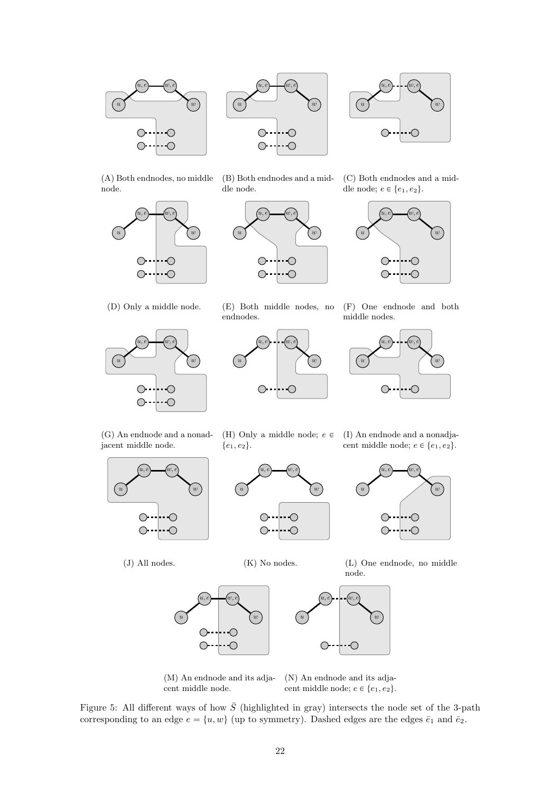<span id="page-21-0"></span>





(A) Both endnodes, no middle node.



(B) Both endnodes and a middle node.



(C) Both endnodes and a middle node;  $e \in \{e_1, e_2\}.$ 



(D) Only a middle node.











(G) An endnode and a nonadjacent middle node.



(J) All nodes.

(H) Only a middle node;  $e \in$  ${e_1, e_2}.$ 

(I) An endnode and a nonadjacent middle node;  $e \in \{e_1, e_2\}.$ 

 $(u, e)$   $(w, e)$ 

|--∙O

 $\overline{\bigcirc}$ 

 $\bigcirc$  -

 $\bigcirc$ 

w



(K) No nodes.







u

(M) An endnode and its adjacent middle node.

(N) An endnode and its adjacent middle node;  $e \in \{e_1, e_2\}.$ 

Figure 5: All different ways of how  $\overline{S}$  (highlighted in gray) intersects the node set of the 3-path corresponding to an edge  $e = \{u, w\}$  (up to symmetry). Dashed edges are the edges  $\bar{e}_1$  and  $\bar{e}_2$ .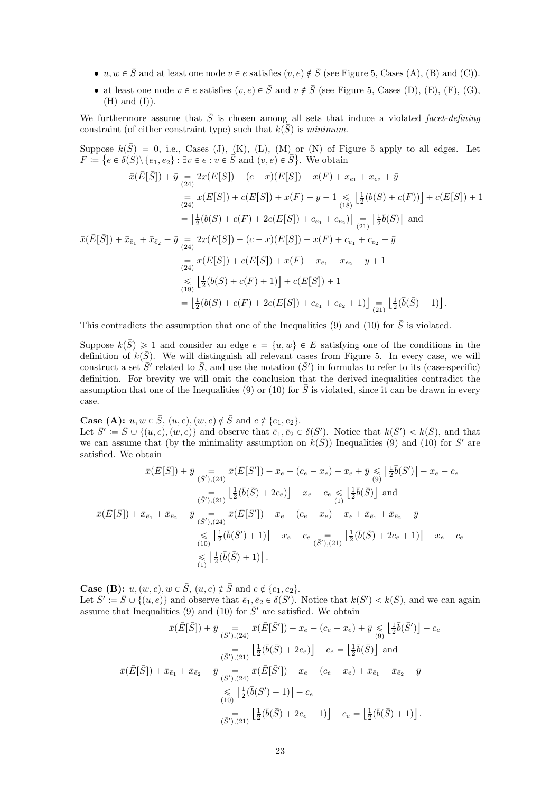- $u, w \in \overline{S}$  and at least one node  $v \in e$  satisfies  $(v, e) \notin \overline{S}$  (see Figure [5,](#page-21-0) Cases [\(A\), \(B\)](#page-21-0) and [\(C\)\)](#page-21-0).
- at least one node  $v \in e$  satisfies  $(v, e) \in \overline{S}$  and  $v \notin \overline{S}$  (see Figure [5,](#page-21-0) Cases [\(D\), \(E\), \(F\), \(G\),](#page-21-0)  $(H)$  and  $(I)$ ).

We furthermore assume that  $\overline{S}$  is chosen among all sets that induce a violated facet-defining constraint (of either constraint type) such that  $k(\bar{S})$  is minimum.

Suppose  $k(\bar{S}) = 0$ , i.e., Cases [\(J\), \(K\), \(L\), \(M\)](#page-21-0) or [\(N\)](#page-21-0) of Figure [5](#page-21-0) apply to all edges. Let  $F \coloneqq \{e \in \delta(S) \setminus \{e_1, e_2\} : \exists v \in e : v \in \overline{S} \text{ and } (v, e) \in \overline{S} \}.$  We obtain

$$
\bar{x}(\bar{E}[\bar{S}]) + \bar{y} = 2x(E[S]) + (c - x)(E[S]) + x(F) + x_{e_1} + x_{e_2} + \bar{y}
$$
\n
$$
= x(E[S]) + c(E[S]) + x(F) + y + 1 \leq \left[\frac{1}{2}(b(S) + c(F))\right] + c(E[S]) + 1
$$
\n
$$
= \left[\frac{1}{2}(b(S) + c(F) + 2c(E[S]) + c_{e_1} + c_{e_2})\right] = \left[\frac{1}{2}\bar{b}(\bar{S})\right] \text{ and}
$$
\n
$$
\bar{x}(\bar{E}[\bar{S}]) + \bar{x}_{\bar{e}_1} + \bar{x}_{\bar{e}_2} - \bar{y} = 2x(E[S]) + (c - x)(E[S]) + x(F) + c_{e_1} + c_{e_2} - \bar{y}
$$
\n
$$
= x(E[S]) + c(E[S]) + x(F) + x_{e_1} + x_{e_2} - y + 1
$$
\n
$$
\leq \left[\frac{1}{2}(b(S) + c(F) + 1)\right] + c(E[S]) + 1
$$
\n
$$
= \left[\frac{1}{2}(b(S) + c(F) + 2c(E[S]) + c_{e_1} + c_{e_2} + 1)\right] = \left[\frac{1}{2}(\bar{b}(\bar{S}) + 1)\right].
$$

This contradicts the assumption that one of the Inequalities [\(9\)](#page-14-2) and [\(10\)](#page-14-3) for  $\bar{S}$  is violated.

Suppose  $k(\bar{S}) \geq 1$  and consider an edge  $e = \{u, w\} \in E$  satisfying one of the conditions in the definition of  $k(\bar{S})$ . We will distinguish all relevant cases from Figure [5.](#page-21-0) In every case, we will construct a set  $\bar{S}'$  related to  $\bar{S}$ , and use the notation  $(\bar{S}')$  in formulas to refer to its (case-specific) definition. For brevity we will omit the conclusion that the derived inequalities contradict the assumption that one of the Inequalities [\(9\)](#page-14-2) or [\(10\)](#page-14-3) for  $\overline{S}$  is violated, since it can be drawn in every case.

**Case [\(A\):](#page-21-0)**  $u, w \in \overline{S}$ ,  $(u, e), (w, e) \notin \overline{S}$  and  $e \notin \{e_1, e_2\}.$ 

Let  $\bar{S}' \coloneqq \bar{S} \cup \{(u, e), (w, e)\}\$  and observe that  $\bar{e}_1, \bar{e}_2 \in \delta(\bar{S}')$ . Notice that  $k(\bar{S}') < k(\bar{S})$ , and that we can assume that (by the minimality assumption on  $k(\vec{S})$ ) Inequalities [\(9\)](#page-14-2) and [\(10\)](#page-14-3) for  $\vec{S}'$  are satisfied. We obtain

$$
\bar{x}(\bar{E}[\bar{S}]) + \bar{y} = \bar{x}(\bar{E}[\bar{S}']) - x_e - (c_e - x_e) - x_e + \bar{y} \leq \frac{1}{2}\bar{b}(\bar{S}') - x_e - c_e
$$
\n
$$
= \frac{1}{2}(\bar{b}(\bar{S}) + 2c_e)\Big] - x_e - c_e \leq \frac{1}{2}(\bar{b}(\bar{S})\Big) \text{ and}
$$
\n
$$
\bar{x}(\bar{E}[\bar{S}]) + \bar{x}_{\bar{e}_1} + \bar{x}_{\bar{e}_2} - \bar{y} = \bar{x}(\bar{E}[\bar{S}']) - x_e - (c_e - x_e) - x_e + \bar{x}_{\bar{e}_1} + \bar{x}_{\bar{e}_2} - \bar{y}
$$
\n
$$
\leq \frac{1}{2}(\bar{b}(\bar{S}') + 1)\Big] - x_e - c_e \quad (s')_{(21)} \Big[\frac{1}{2}(\bar{b}(\bar{S}) + 2c_e + 1)\Big] - x_e - c_e
$$
\n
$$
\leq \Big[\frac{1}{2}(\bar{b}(\bar{S}) + 1)\Big].
$$

**Case [\(B\):](#page-21-0)**  $u, (w, e), w \in \overline{S}$ ,  $(u, e) \notin \overline{S}$  and  $e \notin \{e_1, e_2\}.$ 

Let  $\bar{S}' \coloneqq \bar{S} \cup \{(u, e)\}\$  and observe that  $\bar{e}_1, \bar{e}_2 \in \delta(\bar{S}')$ . Notice that  $k(\bar{S}') < k(\bar{S})$ , and we can again assume that Inequalities [\(9\)](#page-14-2) and [\(10\)](#page-14-3) for  $\bar{S}'$  are satisfied. We obtain

$$
\bar{x}(\bar{E}[\bar{S}]) + \bar{y} = \bar{x}(\bar{E}[\bar{S}']) - x_e - (c_e - x_e) + \bar{y} \leq \frac{1}{2}\bar{b}(\bar{S}') \Big] - c_e
$$
\n
$$
= \frac{1}{2}(\bar{b}(\bar{S}) + 2c_e) \Big] - c_e = \Big[\frac{1}{2}\bar{b}(\bar{S})\Big] \text{ and}
$$
\n
$$
\bar{x}(\bar{E}[\bar{S}]) + \bar{x}_{\bar{e}_1} + \bar{x}_{\bar{e}_2} - \bar{y} = \frac{1}{2}(\bar{b}(\bar{S}') - x_e - (c_e - x_e) + \bar{x}_{\bar{e}_1} + \bar{x}_{\bar{e}_2} - \bar{y}
$$
\n
$$
\leq \Big[\frac{1}{2}(\bar{b}(\bar{S}') + 1)\Big] - c_e
$$
\n
$$
= \Big[\frac{1}{2}(\bar{b}(\bar{S}) + 2c_e + 1)\Big] - c_e = \Big[\frac{1}{2}(\bar{b}(\bar{S}) + 1)\Big].
$$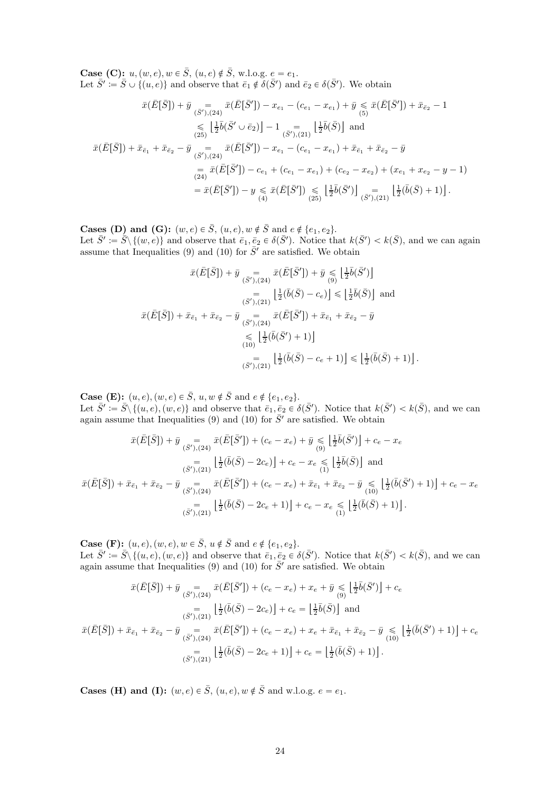**Case [\(C\):](#page-21-0)**  $u, (w, e), w \in \overline{S}$ ,  $(u, e) \notin \overline{S}$ , w.l.o.g.  $e = e_1$ . Let  $\bar{S}' := \bar{S} \cup \{(u, e)\}\$ and observe that  $\bar{e}_1 \notin \delta(\bar{S}')$  and  $\bar{e}_2 \in \delta(\bar{S}')$ . We obtain

$$
\bar{x}(\bar{E}[\bar{S}]) + \bar{y} = \bar{x}(\bar{E}[\bar{S}']) - x_{e_1} - (c_{e_1} - x_{e_1}) + \bar{y} \leq \bar{x}(\bar{E}[\bar{S}']) + \bar{x}_{\bar{e}_2} - 1
$$
  
\n
$$
\leq \left[\frac{1}{2}\bar{b}(\bar{S}' \cup \bar{e}_2)\right] - 1 = \left[\frac{1}{2}\bar{b}(\bar{S})\right] \text{ and}
$$
  
\n
$$
\bar{x}(\bar{E}[\bar{S}]) + \bar{x}_{\bar{e}_1} + \bar{x}_{\bar{e}_2} - \bar{y} = \bar{x}(\bar{E}[\bar{S}']) - x_{e_1} - (c_{e_1} - x_{e_1}) + \bar{x}_{\bar{e}_1} + \bar{x}_{\bar{e}_2} - \bar{y}
$$
  
\n
$$
= \bar{x}(\bar{E}[\bar{S}']) - c_{e_1} + (c_{e_1} - x_{e_1}) + (c_{e_2} - x_{e_2}) + (x_{e_1} + x_{e_2} - y - 1)
$$
  
\n
$$
= \bar{x}(\bar{E}[\bar{S}']) - y \leq \bar{x}(\bar{E}[\bar{S}']) \leq \left[\frac{1}{2}\bar{b}(\bar{S}')\right] \leq \bar{b}(\bar{S}') \leq \left[\frac{1}{2}(\bar{b}(\bar{S}) + 1)\right].
$$

**Cases [\(D\)](#page-21-0) and [\(G\):](#page-21-0)**  $(w, e) \in \overline{S}$ ,  $(u, e), w \notin \overline{S}$  and  $e \notin \{e_1, e_2\}.$ Let  $\bar{S}' \coloneqq \bar{S} \setminus \{(w, e)\}\$  and observe that  $\bar{e}_1, \bar{e}_2 \in \delta(\bar{S}')$ . Notice that  $k(\bar{S}') < k(\bar{S})$ , and we can again assume that Inequalities [\(9\)](#page-14-2) and [\(10\)](#page-14-3) for  $\bar{S}'$  are satisfied. We obtain

$$
\bar{x}(\bar{E}[\bar{S}]) + \bar{y} = \bar{x}(\bar{E}[\bar{S}']) + \bar{y} \leq \frac{1}{2}\bar{b}(\bar{S}')] \n= \frac{1}{(\bar{S}'),(21)} \left[\frac{1}{2}(\bar{b}(\bar{S}) - c_e)\right] \leq \frac{1}{2}\bar{b}(\bar{S}) \quad \text{and} \n\bar{x}(\bar{E}[\bar{S}]) + \bar{x}_{\bar{e}_1} + \bar{x}_{\bar{e}_2} - \bar{y} \quad \bar{x}(\bar{E}[\bar{S}']) + \bar{x}_{\bar{e}_1} + \bar{x}_{\bar{e}_2} - \bar{y} \n\leq \frac{1}{2}(\bar{b}(\bar{S}') + 1) \n= \frac{1}{(\bar{S}'),(21)} \left[\frac{1}{2}(\bar{b}(\bar{S}) - c_e + 1)\right] \leq \frac{1}{2}(\bar{b}(\bar{S}) + 1) \quad \text{or} \quad \text{and} \n= \frac{1}{(\bar{S}'),(21)} \left[\frac{1}{2}(\bar{b}(\bar{S}) - c_e + 1)\right] \leq \frac{1}{2}(\bar{b}(\bar{S}) + 1) \quad \text{or} \quad \text{and} \n= \frac{1}{(\bar{S}'),(21)} \left[\frac{1}{2}(\bar{b}(\bar{S}) - c_e + 1)\right] \leq \frac{1}{2}(\bar{b}(\bar{S}) + 1) \quad \text{or} \quad \text{and} \n= \frac{1}{(\bar{S}'),(21)} \left[\frac{1}{2}(\bar{b}(\bar{S}) - c_e + 1)\right] \leq \frac{1}{(\bar{S},\bar{S}')},
$$

**Case [\(E\):](#page-21-0)**  $(u, e), (w, e) \in \overline{S}, u, w \notin \overline{S}$  and  $e \notin \{e_1, e_2\}.$ 

Let  $\bar{S}' \coloneqq \bar{S} \setminus \{(u, e), (w, e)\}\$ and observe that  $\bar{e}_1, \bar{e}_2 \in \delta(\bar{S}')$ . Notice that  $k(\bar{S}') < k(\bar{S})$ , and we can again assume that Inequalities [\(9\)](#page-14-2) and [\(10\)](#page-14-3) for  $\bar{S}'$  are satisfied. We obtain

$$
\bar{x}(\bar{E}[\bar{S}]) + \bar{y} = \bar{x}(\bar{E}[\bar{S}']) + (c_e - x_e) + \bar{y} \leqslant \lfloor \frac{1}{2}\bar{b}(\bar{S}') \rfloor + c_e - x_e
$$
\n
$$
= \lfloor \frac{1}{2}(\bar{b}(\bar{S}) - 2c_e) \rfloor + c_e - x_e \leqslant \lfloor \frac{1}{2}\bar{b}(\bar{S}) \rfloor \text{ and}
$$
\n
$$
\bar{x}(\bar{E}[\bar{S}]) + \bar{x}_{\bar{e}_1} + \bar{x}_{\bar{e}_2} - \bar{y} = \bar{x}(\bar{E}[\bar{S}']) + (c_e - x_e) + \bar{x}_{\bar{e}_1} + \bar{x}_{\bar{e}_2} - \bar{y} \leqslant \lfloor \frac{1}{2}(\bar{b}(\bar{S}') + 1) \rfloor + c_e - x_e
$$
\n
$$
= \lfloor \frac{1}{2}(\bar{b}(\bar{S}) - 2c_e + 1) \rfloor + c_e - x_e \leqslant \lfloor \frac{1}{2}(\bar{b}(\bar{S}) + 1) \rfloor.
$$
\n
$$
\frac{1}{(\bar{S}'),(21)} \lfloor \frac{1}{2}(\bar{b}(\bar{S}) - 2c_e + 1) \rfloor + c_e - x_e \leqslant \lfloor \frac{1}{2}(\bar{b}(\bar{S}) + 1) \rfloor.
$$

**Case [\(F\):](#page-21-0)**  $(u, e), (w, e), w \in \overline{S}, u \notin \overline{S}$  and  $e \notin \{e_1, e_2\}.$ 

Let  $\bar{S}' := \bar{S} \setminus \{(u, e), (w, e)\}\$  and observe that  $\bar{e}_1, \bar{e}_2 \in \delta(\bar{S}')$ . Notice that  $k(\bar{S}') < k(\bar{S})$ , and we can again assume that Inequalities [\(9\)](#page-14-2) and [\(10\)](#page-14-3) for  $\bar{S}'$  are satisfied. We obtain

$$
\bar{x}(\bar{E}[\bar{S}]) + \bar{y} = \bar{x}(\bar{E}[\bar{S}']) + (c_e - x_e) + x_e + \bar{y} \leq \left[\frac{1}{2}\bar{b}(\bar{S}')\right] + c_e
$$
\n
$$
= \left[\frac{1}{2}(\bar{b}(\bar{S}) - 2c_e)\right] + c_e = \left[\frac{1}{2}\bar{b}(\bar{S})\right] \text{ and}
$$
\n
$$
\bar{x}(\bar{E}[\bar{S}]) + \bar{x}_{\bar{e}_1} + \bar{x}_{\bar{e}_2} - \bar{y} = \bar{x}(\bar{E}[\bar{S}']) + (c_e - x_e) + x_e + \bar{x}_{\bar{e}_1} + \bar{x}_{\bar{e}_2} - \bar{y} \leq \left[\frac{1}{2}(\bar{b}(\bar{S}') + 1)\right] + c_e
$$
\n
$$
= \left[\frac{1}{2}(\bar{b}(\bar{S}) - 2c_e + 1)\right] + c_e = \left[\frac{1}{2}(\bar{b}(\bar{S}) + 1)\right].
$$
\n
$$
\bar{s}(\bar{S}'),(21)
$$

**Cases [\(H\)](#page-21-0) and [\(I\):](#page-21-0)**  $(w, e) \in \overline{S}$ ,  $(u, e), w \notin \overline{S}$  and w.l.o.g.  $e = e_1$ .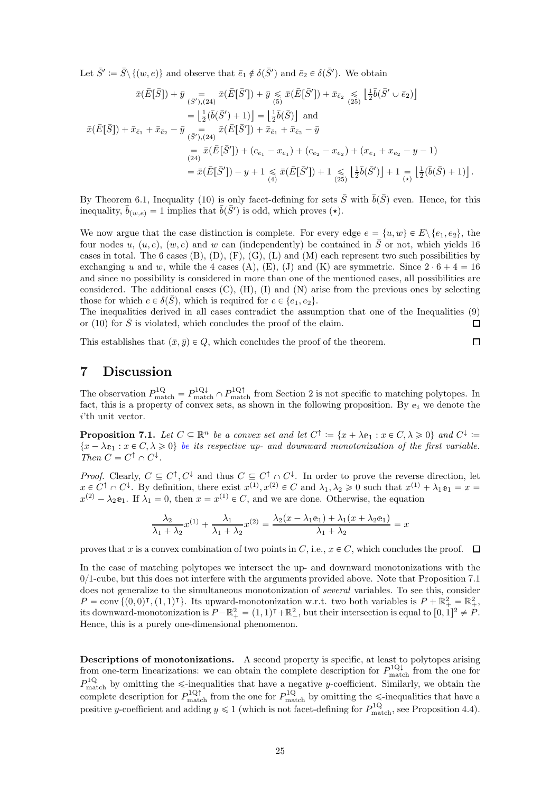Let  $\bar{S}' \coloneqq \bar{S} \setminus \{(w, e)\}\$  and observe that  $\bar{e}_1 \notin \delta(\bar{S}')$  and  $\bar{e}_2 \in \delta(\bar{S}')$ . We obtain

$$
\bar{x}(\bar{E}[\bar{S}]) + \bar{y} = \bar{x}(\bar{E}[\bar{S}']) + \bar{y} \leq \bar{x}(\bar{E}[\bar{S}']) + \bar{x}_{\bar{e}_2} \leq \frac{1}{2}\bar{b}(\bar{S}' \cup \bar{e}_2)
$$
\n
$$
= \left[\frac{1}{2}(\bar{b}(\bar{S}') + 1)\right] = \left[\frac{1}{2}\bar{b}(\bar{S})\right] \text{ and}
$$
\n
$$
\bar{x}(\bar{E}[\bar{S}]) + \bar{x}_{\bar{e}_1} + \bar{x}_{\bar{e}_2} - \bar{y} = \bar{x}(\bar{E}[\bar{S}']) + \bar{x}_{\bar{e}_1} + \bar{x}_{\bar{e}_2} - \bar{y}
$$
\n
$$
= \bar{x}(\bar{E}[\bar{S}']) + (c_{e_1} - x_{e_1}) + (c_{e_2} - x_{e_2}) + (x_{e_1} + x_{e_2} - y - 1)
$$
\n
$$
= \bar{x}(\bar{E}[\bar{S}']) - y + 1 \leq \bar{x}(\bar{E}[\bar{S}']) + 1 \leq \frac{1}{2}\bar{b}(\bar{S}') + 1 \leq \frac{1}{2}(\bar{b}(\bar{S}') + 1) \leq \frac{1}{2}(\bar{b}(\bar{S}) + 1).
$$

By Theorem [6.1,](#page-15-1) Inequality [\(10\)](#page-14-3) is only facet-defining for sets  $\bar{S}$  with  $\bar{b}(\bar{S})$  even. Hence, for this inequality,  $\bar{b}_{(w,e)} = 1$  implies that  $\bar{b}(\bar{S}')$  is odd, which proves ( $\star$ ).

We now argue that the case distinction is complete. For every edge  $e = \{u, w\} \in E \setminus \{e_1, e_2\}$ , the four nodes u,  $(u, e)$ ,  $(w, e)$  and w can (independently) be contained in  $\overline{S}$  or not, which yields 16 cases in total. The 6 cases  $(B)$ ,  $(D)$ ,  $(F)$ ,  $(G)$ ,  $(L)$  and  $(M)$  each represent two such possibilities by exchanging u and w, while the 4 cases [\(A\), \(E\), \(J\)](#page-21-0) and [\(K\)](#page-21-0) are symmetric. Since  $2 \cdot 6 + 4 = 16$ and since no possibility is considered in more than one of the mentioned cases, all possibilities are considered. The additional cases  $(C)$ ,  $(H)$ ,  $(I)$  and  $(N)$  arise from the previous ones by selecting those for which  $e \in \delta(\bar{S})$ , which is required for  $e \in \{e_1, e_2\}.$ 

The inequalities derived in all cases contradict the assumption that one of the Inequalities [\(9\)](#page-14-2) or [\(10\)](#page-14-3) for  $\overline{S}$  is violated, which concludes the proof of the claim.  $\Box$ 

This establishes that  $(\bar{x}, \bar{y}) \in Q$ , which concludes the proof of the theorem.

7 Discussion

The observation  $P_{\text{match}}^{1Q} = P_{\text{match}}^{1Q\downarrow} \cap P_{\text{match}}^{1Q\uparrow}$  from Section [2](#page-2-3) is not specific to matching polytopes. In fact, this is a property of convex sets, as shown in the following proposition. By  $e_i$  we denote the  $i$ 'th unit vector.

<span id="page-24-0"></span>**Proposition 7.1.** Let  $C \subseteq \mathbb{R}^n$  be a convex set and let  $C^{\uparrow} := \{x + \lambda e_1 : x \in C, \lambda \geq 0\}$  and  $C^{\downarrow} :=$  $\{x - \lambda e_1 : x \in C, \lambda \geq 0\}$  be its respective up- and downward monotonization of the first variable. Then  $C = C^{\uparrow} \cap C^{\downarrow}$ .

*Proof.* Clearly,  $C \subseteq C^{\dagger}, C^{\downarrow}$  and thus  $C \subseteq C^{\dagger} \cap C^{\downarrow}$ . In order to prove the reverse direction, let  $x \in C^{\uparrow} \cap C^{\downarrow}$ . By definition, there exist  $x^{(1)}, x^{(2)} \in C$  and  $\lambda_1, \lambda_2 \geq 0$  such that  $x^{(1)} + \lambda_1 e_1 = x =$  $x^{(2)} - \lambda_2$  e<sub>1</sub>. If  $\lambda_1 = 0$ , then  $x = x^{(1)} \in C$ , and we are done. Otherwise, the equation

$$
\frac{\lambda_2}{\lambda_1 + \lambda_2} x^{(1)} + \frac{\lambda_1}{\lambda_1 + \lambda_2} x^{(2)} = \frac{\lambda_2 (x - \lambda_1 \mathbf{e}_1) + \lambda_1 (x + \lambda_2 \mathbf{e}_1)}{\lambda_1 + \lambda_2} = x
$$

proves that x is a convex combination of two points in C, i.e.,  $x \in C$ , which concludes the proof.  $\Box$ 

In the case of matching polytopes we intersect the up- and downward monotonizations with the  $0/1$ -cube, but this does not interfere with the arguments provided above. Note that Proposition [7.1](#page-24-0) does not generalize to the simultaneous monotonization of several variables. To see this, consider  $P = \text{conv } \{(0,0)^\intercal, (1,1)^\intercal\}.$  Its upward-monotonization w.r.t. two both variables is  $P + \mathbb{R}^2_+ = \mathbb{R}^2_+$ , its downward-monotonization is  $P - \mathbb{R}^2_+ = (1, 1)^\intercal + \mathbb{R}^2_-$ , but their intersection is equal to  $[0, 1]^2 \neq P$ . Hence, this is a purely one-dimensional phenomenon.

Descriptions of monotonizations. A second property is specific, at least to polytopes arising from one-term linearizations: we can obtain the complete description for  $P_{\text{match}}^{\text{1Q}\downarrow}$  from the one for  $P_{\text{match}}^{1Q}$  by omitting the  $\leq$ -inequalities that have a negative y-coefficient. Similarly, we obtain the complete description for  $P_{\text{match}}^{1Q}$  from the one for  $P_{\text{match}}^{1Q}$  by omitting the  $\leq$ -inequalities that have a positive y-coefficient and adding  $y \le 1$  (which is not facet-defining for  $P_{\text{match}}^{1Q}$ , see Proposition [4.4\)](#page-11-0).

 $\Box$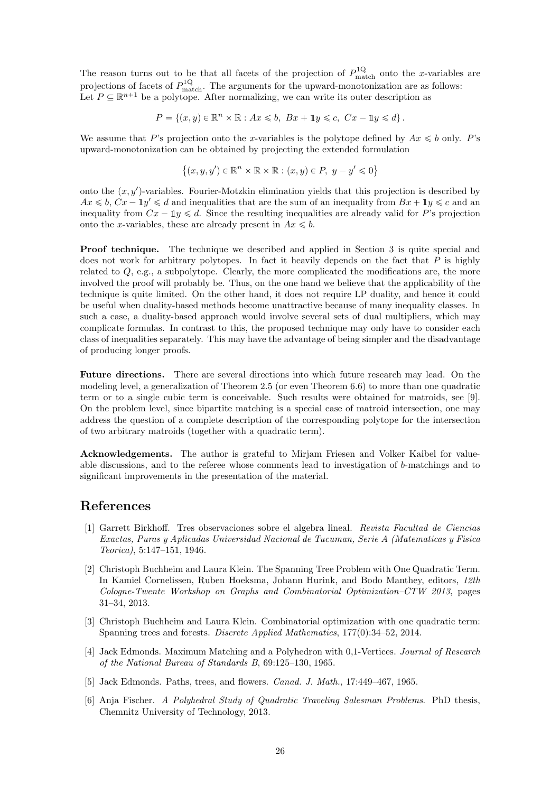The reason turns out to be that all facets of the projection of  $P_{\text{match}}^{1Q}$  onto the x-variables are projections of facets of  $P_{\text{match}}^{1Q}$ . The arguments for the upward-monotonization are as follows: Let  $P \subseteq \mathbb{R}^{n+1}$  be a polytope. After normalizing, we can write its outer description as

$$
P = \{(x, y) \in \mathbb{R}^n \times \mathbb{R} : Ax \le b, Bx + \mathbb{1}y \le c, Cx - \mathbb{1}y \le d\}.
$$

We assume that P's projection onto the x-variables is the polytope defined by  $Ax \leq b$  only. P's upward-monotonization can be obtained by projecting the extended formulation

$$
\{(x, y, y') \in \mathbb{R}^n \times \mathbb{R} \times \mathbb{R} : (x, y) \in P, y - y' \leq 0\}
$$

onto the  $(x, y')$ -variables. Fourier-Motzkin elimination yields that this projection is described by  $Ax \leq b$ ,  $Cx - \mathbb{1}y' \leq d$  and inequalities that are the sum of an inequality from  $Bx + \mathbb{1}y \leq c$  and an inequality from  $Cx - \mathbb{1}y \leq d$ . Since the resulting inequalities are already valid for P's projection onto the x-variables, these are already present in  $Ax \leq b$ .

Proof technique. The technique we described and applied in Section [3](#page-4-2) is quite special and does not work for arbitrary polytopes. In fact it heavily depends on the fact that  $P$  is highly related to  $Q$ , e.g., a subpolytope. Clearly, the more complicated the modifications are, the more involved the proof will probably be. Thus, on the one hand we believe that the applicability of the technique is quite limited. On the other hand, it does not require LP duality, and hence it could be useful when duality-based methods become unattractive because of many inequality classes. In such a case, a duality-based approach would involve several sets of dual multipliers, which may complicate formulas. In contrast to this, the proposed technique may only have to consider each class of inequalities separately. This may have the advantage of being simpler and the disadvantage of producing longer proofs.

Future directions. There are several directions into which future research may lead. On the modeling level, a generalization of Theorem [2.5](#page-3-3) (or even Theorem [6.6\)](#page-18-4) to more than one quadratic term or to a single cubic term is conceivable. Such results were obtained for matroids, see [\[9\]](#page-26-13). On the problem level, since bipartite matching is a special case of matroid intersection, one may address the question of a complete description of the corresponding polytope for the intersection of two arbitrary matroids (together with a quadratic term).

Acknowledgements. The author is grateful to Mirjam Friesen and Volker Kaibel for valueable discussions, and to the referee whose comments lead to investigation of b-matchings and to significant improvements in the presentation of the material.

## <span id="page-25-0"></span>References

- [1] Garrett Birkhoff. Tres observaciones sobre el algebra lineal. Revista Facultad de Ciencias Exactas, Puras y Aplicadas Universidad Nacional de Tucuman, Serie A (Matematicas y Fisica Teorica), 5:147–151, 1946.
- <span id="page-25-3"></span>[2] Christoph Buchheim and Laura Klein. The Spanning Tree Problem with One Quadratic Term. In Kamiel Cornelissen, Ruben Hoeksma, Johann Hurink, and Bodo Manthey, editors, 12th Cologne-Twente Workshop on Graphs and Combinatorial Optimization–CTW 2013, pages 31–34, 2013.
- <span id="page-25-4"></span>[3] Christoph Buchheim and Laura Klein. Combinatorial optimization with one quadratic term: Spanning trees and forests. Discrete Applied Mathematics, 177(0):34–52, 2014.
- <span id="page-25-1"></span>[4] Jack Edmonds. Maximum Matching and a Polyhedron with 0,1-Vertices. Journal of Research of the National Bureau of Standards B, 69:125–130, 1965.
- <span id="page-25-5"></span><span id="page-25-2"></span>[5] Jack Edmonds. Paths, trees, and flowers. Canad. J. Math., 17:449–467, 1965.
- [6] Anja Fischer. A Polyhedral Study of Quadratic Traveling Salesman Problems. PhD thesis, Chemnitz University of Technology, 2013.